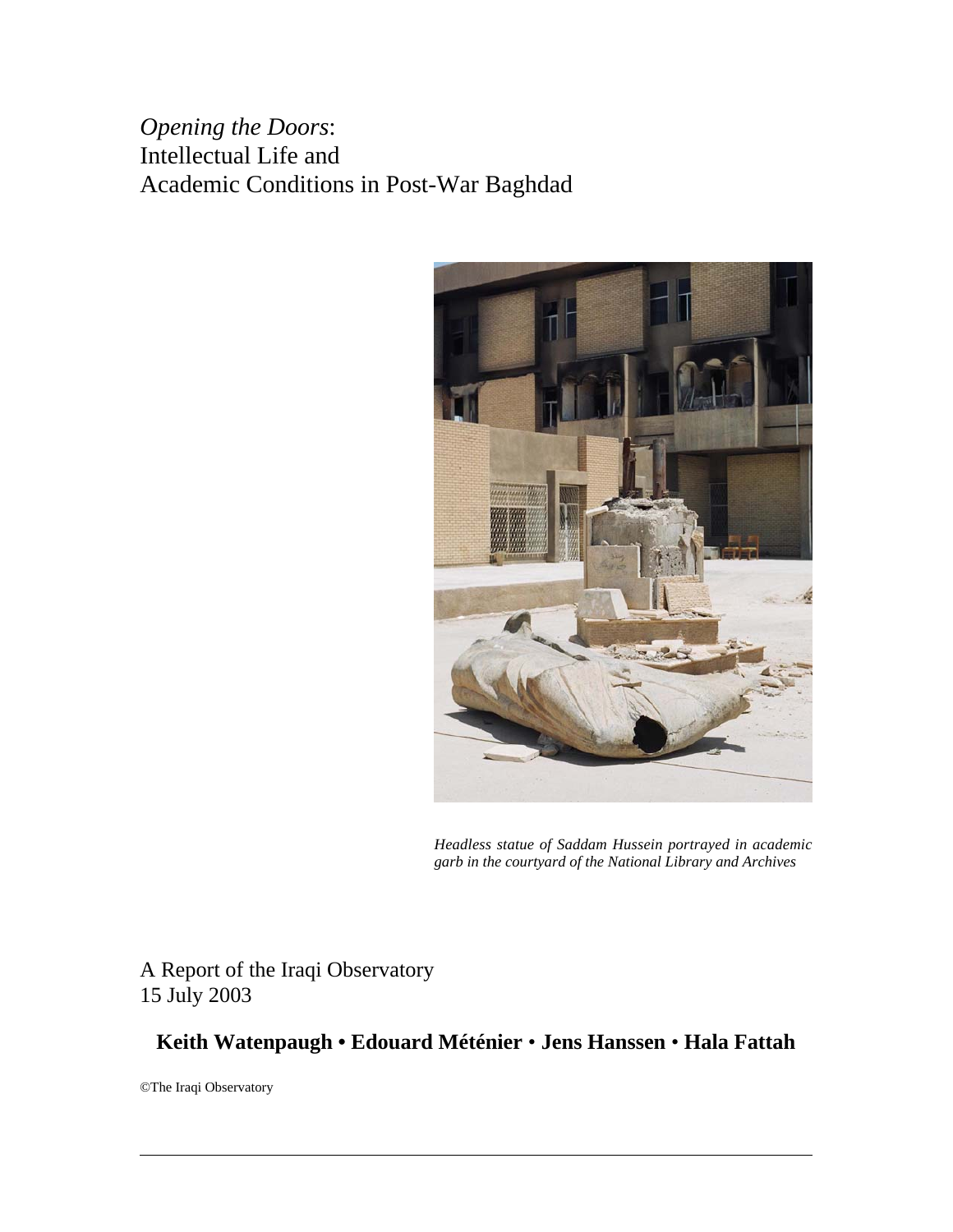*Opening the Doors*: Intellectual Life and Academic Conditions in Post-War Baghdad



*Headless statue of Saddam Hussein portrayed in academic garb in the courtyard of the National Library and Archives*

A Report of the Iraqi Observatory 15 July 2003

# **Keith Watenpaugh • Edouard Méténier** • **Jens Hanssen** • **Hala Fattah**

©The Iraqi Observatory

 $\overline{a}$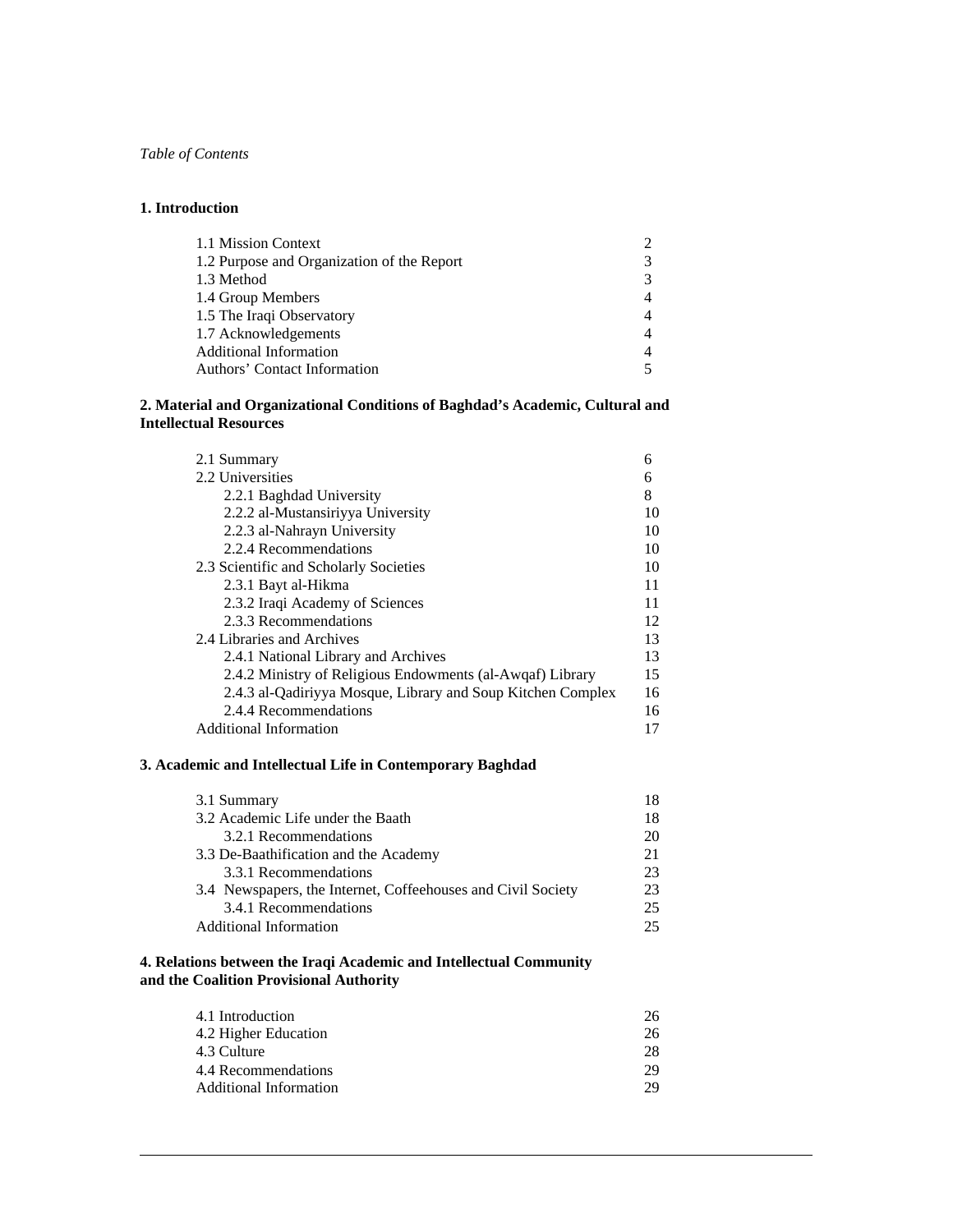*Table of Contents*

### **1. Introduction**

 $\overline{a}$ 

| 1.1 Mission Context                        |   |
|--------------------------------------------|---|
| 1.2 Purpose and Organization of the Report | 3 |
| 1.3 Method                                 | 3 |
| 1.4 Group Members                          | 4 |
| 1.5 The Iraqi Observatory                  |   |
| 1.7 Acknowledgements                       | 4 |
| <b>Additional Information</b>              | 4 |
| Authors' Contact Information               |   |

### **2. Material and Organizational Conditions of Baghdad's Academic, Cultural and Intellectual Resources**

| 2.1 Summary                                                 | 6  |
|-------------------------------------------------------------|----|
| 2.2 Universities                                            | 6  |
| 2.2.1 Baghdad University                                    | 8  |
| 2.2.2 al-Mustansiriyya University                           | 10 |
| 2.2.3 al-Nahrayn University                                 | 10 |
| 2.2.4 Recommendations                                       | 10 |
| 2.3 Scientific and Scholarly Societies                      | 10 |
| 2.3.1 Bayt al-Hikma                                         | 11 |
| 2.3.2 Iraqi Academy of Sciences                             | 11 |
| 2.3.3 Recommendations                                       | 12 |
| 2.4 Libraries and Archives                                  | 13 |
| 2.4.1 National Library and Archives                         | 13 |
| 2.4.2 Ministry of Religious Endowments (al-Awqaf) Library   | 15 |
| 2.4.3 al-Qadiriyya Mosque, Library and Soup Kitchen Complex | 16 |
| 2.4.4 Recommendations                                       | 16 |
| <b>Additional Information</b>                               | 17 |

### **3. Academic and Intellectual Life in Contemporary Baghdad**

| 3.1 Summary                                                  | 18 |
|--------------------------------------------------------------|----|
| 3.2 Academic Life under the Baath                            | 18 |
| 3.2.1 Recommendations                                        | 20 |
| 3.3 De-Baathification and the Academy                        | 21 |
| 3.3.1 Recommendations                                        | 23 |
| 3.4 Newspapers, the Internet, Coffeehouses and Civil Society | 23 |
| 3.4.1 Recommendations                                        | 25 |
| <b>Additional Information</b>                                | 25 |

### **4. Relations between the Iraqi Academic and Intellectual Community and the Coalition Provisional Authority**

| 4.1 Introduction       | 26 |
|------------------------|----|
|                        |    |
| 4.2 Higher Education   | 26 |
| 4.3 Culture            | 28 |
| 4.4 Recommendations    | 29 |
| Additional Information | 29 |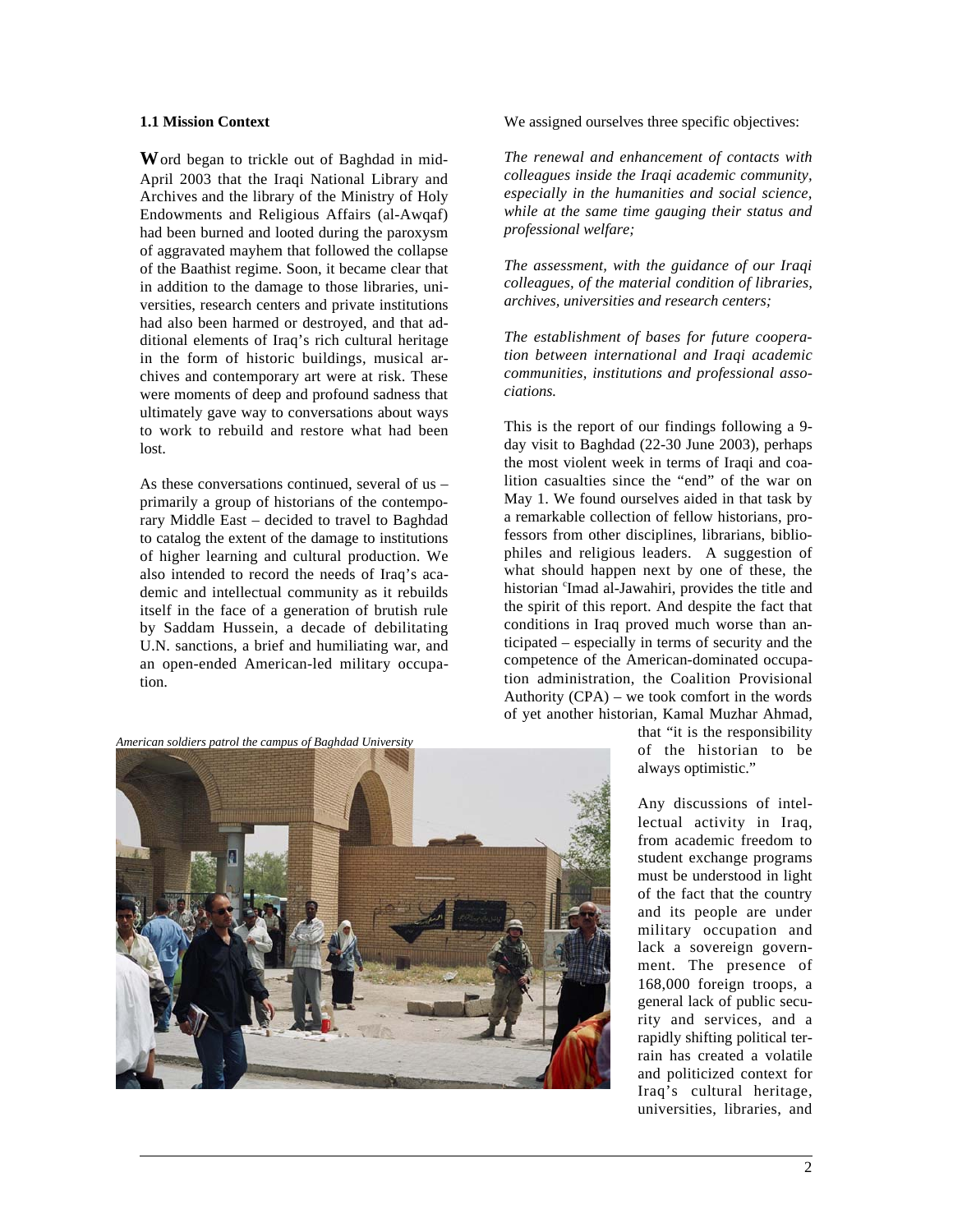#### **1.1 Mission Context**

**W**ord began to trickle out of Baghdad in mid-April 2003 that the Iraqi National Library and Archives and the library of the Ministry of Holy Endowments and Religious Affairs (al-Awqaf) had been burned and looted during the paroxysm of aggravated mayhem that followed the collapse of the Baathist regime. Soon, it became clear that in addition to the damage to those libraries, universities, research centers and private institutions had also been harmed or destroyed, and that additional elements of Iraq's rich cultural heritage in the form of historic buildings, musical archives and contemporary art were at risk. These were moments of deep and profound sadness that ultimately gave way to conversations about ways to work to rebuild and restore what had been lost.

As these conversations continued, several of us – primarily a group of historians of the contemporary Middle East – decided to travel to Baghdad to catalog the extent of the damage to institutions of higher learning and cultural production. We also intended to record the needs of Iraq's academic and intellectual community as it rebuilds itself in the face of a generation of brutish rule by Saddam Hussein, a decade of debilitating U.N. sanctions, a brief and humiliating war, and an open-ended American-led military occupation.

*American soldiers patrol the campus of Baghdad University*

 $\overline{a}$ 



We assigned ourselves three specific objectives:

*The renewal and enhancement of contacts with colleagues inside the Iraqi academic community, especially in the humanities and social science, while at the same time gauging their status and professional welfare;*

*The assessment, with the guidance of our Iraqi colleagues, of the material condition of libraries, archives, universities and research centers;*

*The establishment of bases for future cooperation between international and Iraqi academic communities, institutions and professional associations.*

This is the report of our findings following a 9 day visit to Baghdad (22-30 June 2003), perhaps the most violent week in terms of Iraqi and coalition casualties since the "end" of the war on May 1. We found ourselves aided in that task by a remarkable collection of fellow historians, professors from other disciplines, librarians, bibliophiles and religious leaders. A suggestion of what should happen next by one of these, the historian <sup>c</sup>Imad al-Jawahiri, provides the title and the spirit of this report. And despite the fact that conditions in Iraq proved much worse than anticipated – especially in terms of security and the competence of the American-dominated occupation administration, the Coalition Provisional Authority (CPA) – we took comfort in the words of yet another historian, Kamal Muzhar Ahmad,

> that "it is the responsibility of the historian to be always optimistic."

Any discussions of intellectual activity in Iraq, from academic freedom to student exchange programs must be understood in light of the fact that the country and its people are under military occupation and lack a sovereign government. The presence of 168,000 foreign troops, a general lack of public security and services, and a rapidly shifting political terrain has created a volatile and politicized context for Iraq's cultural heritage, universities, libraries, and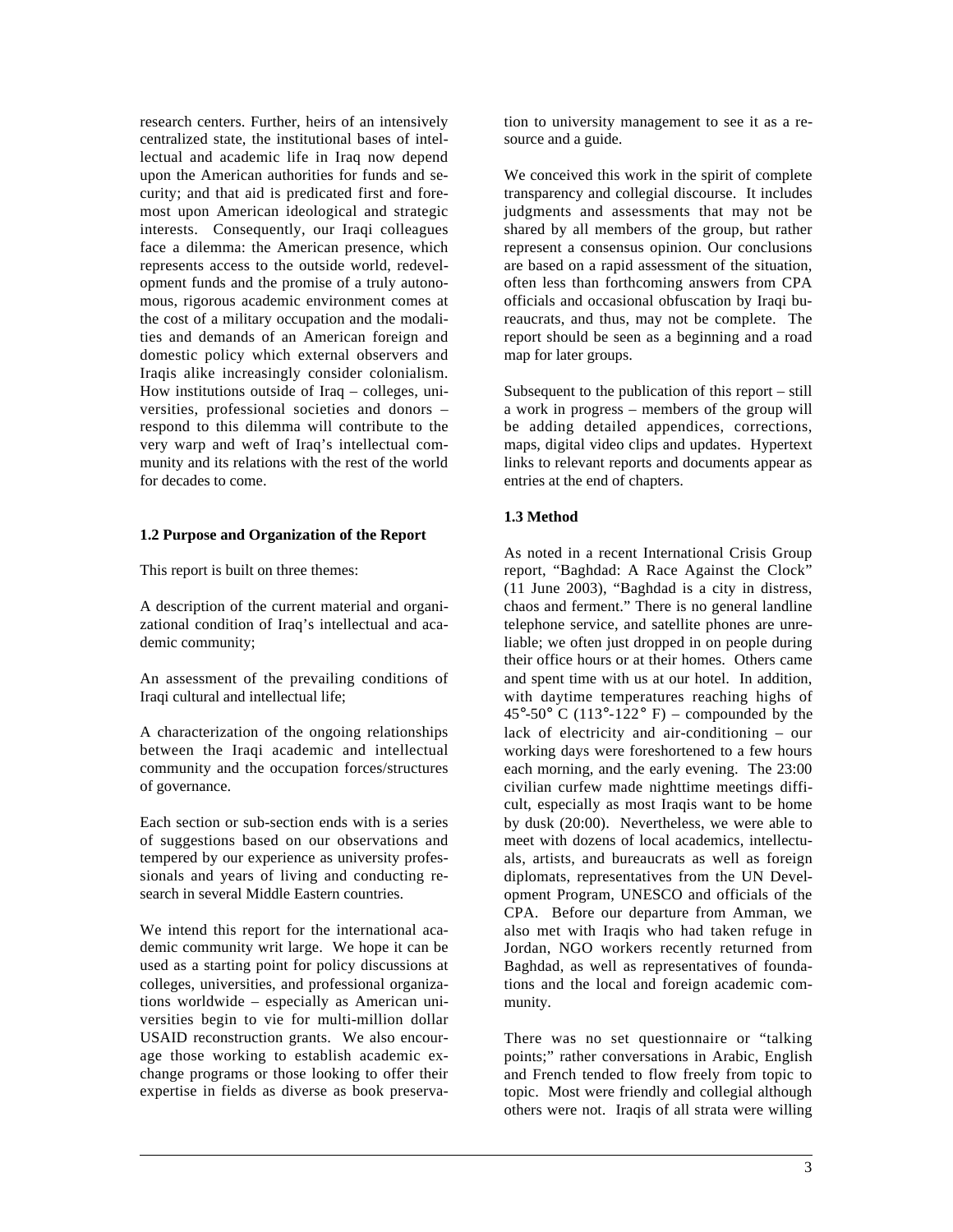research centers. Further, heirs of an intensively centralized state, the institutional bases of intellectual and academic life in Iraq now depend upon the American authorities for funds and security; and that aid is predicated first and foremost upon American ideological and strategic interests. Consequently, our Iraqi colleagues face a dilemma: the American presence, which represents access to the outside world, redevelopment funds and the promise of a truly autonomous, rigorous academic environment comes at the cost of a military occupation and the modalities and demands of an American foreign and domestic policy which external observers and Iraqis alike increasingly consider colonialism. How institutions outside of Iraq – colleges, universities, professional societies and donors – respond to this dilemma will contribute to the very warp and weft of Iraq's intellectual community and its relations with the rest of the world for decades to come.

### **1.2 Purpose and Organization of the Report**

This report is built on three themes:

A description of the current material and organizational condition of Iraq's intellectual and academic community;

An assessment of the prevailing conditions of Iraqi cultural and intellectual life;

A characterization of the ongoing relationships between the Iraqi academic and intellectual community and the occupation forces/structures of governance.

Each section or sub-section ends with is a series of suggestions based on our observations and tempered by our experience as university professionals and years of living and conducting research in several Middle Eastern countries.

We intend this report for the international academic community writ large. We hope it can be used as a starting point for policy discussions at colleges, universities, and professional organizations worldwide – especially as American universities begin to vie for multi-million dollar USAID reconstruction grants. We also encourage those working to establish academic exchange programs or those looking to offer their expertise in fields as diverse as book preserva-

 $\overline{a}$ 

tion to university management to see it as a resource and a guide.

We conceived this work in the spirit of complete transparency and collegial discourse. It includes judgments and assessments that may not be shared by all members of the group, but rather represent a consensus opinion. Our conclusions are based on a rapid assessment of the situation, often less than forthcoming answers from CPA officials and occasional obfuscation by Iraqi bureaucrats, and thus, may not be complete. The report should be seen as a beginning and a road map for later groups.

Subsequent to the publication of this report – still a work in progress – members of the group will be adding detailed appendices, corrections, maps, digital video clips and updates. Hypertext links to relevant reports and documents appear as entries at the end of chapters.

### **1.3 Method**

As noted in a recent International Crisis Group report, "Baghdad: A Race Against the Clock" (11 June 2003), "Baghdad is a city in distress, chaos and ferment." There is no general landline telephone service, and satellite phones are unreliable; we often just dropped in on people during their office hours or at their homes. Others came and spent time with us at our hotel. In addition, with daytime temperatures reaching highs of  $45^{\circ}$ -50° C (113°-122° F) – compounded by the lack of electricity and air-conditioning – our working days were foreshortened to a few hours each morning, and the early evening. The 23:00 civilian curfew made nighttime meetings difficult, especially as most Iraqis want to be home by dusk (20:00). Nevertheless, we were able to meet with dozens of local academics, intellectuals, artists, and bureaucrats as well as foreign diplomats, representatives from the UN Development Program, UNESCO and officials of the CPA. Before our departure from Amman, we also met with Iraqis who had taken refuge in Jordan, NGO workers recently returned from Baghdad, as well as representatives of foundations and the local and foreign academic community.

There was no set questionnaire or "talking points;" rather conversations in Arabic, English and French tended to flow freely from topic to topic. Most were friendly and collegial although others were not. Iraqis of all strata were willing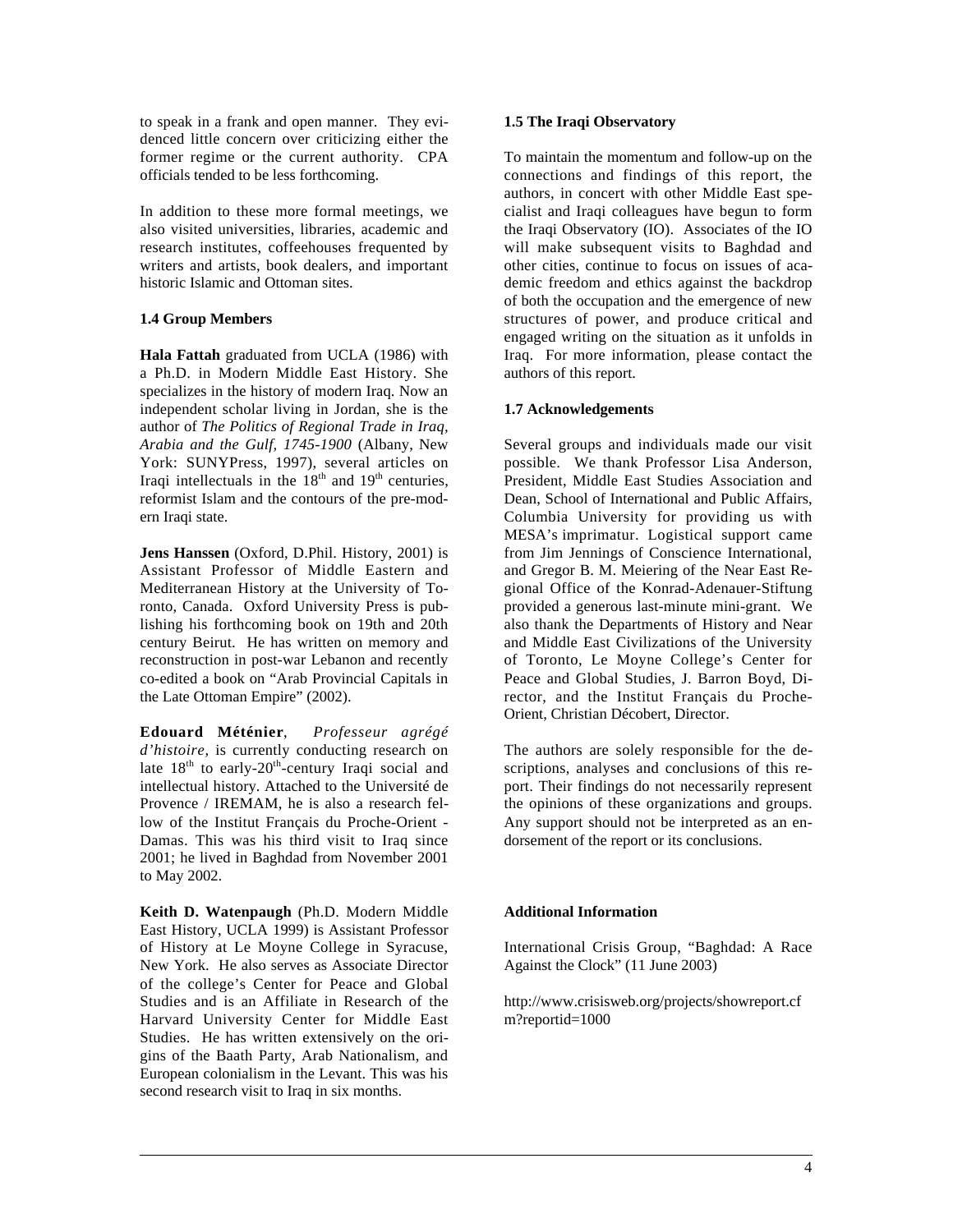to speak in a frank and open manner. They evidenced little concern over criticizing either the former regime or the current authority. CPA officials tended to be less forthcoming.

In addition to these more formal meetings, we also visited universities, libraries, academic and research institutes, coffeehouses frequented by writers and artists, book dealers, and important historic Islamic and Ottoman sites.

### **1.4 Group Members**

**Hala Fattah** graduated from UCLA (1986) with a Ph.D. in Modern Middle East History. She specializes in the history of modern Iraq. Now an independent scholar living in Jordan, she is the author of *The Politics of Regional Trade in Iraq, Arabia and the Gulf, 1745-1900* (Albany, New York: SUNYPress, 1997), several articles on Iraqi intellectuals in the  $18<sup>th</sup>$  and  $19<sup>th</sup>$  centuries, reformist Islam and the contours of the pre-modern Iraqi state.

**Jens Hanssen** (Oxford, D.Phil. History, 2001) is Assistant Professor of Middle Eastern and Mediterranean History at the University of Toronto, Canada. Oxford University Press is publishing his forthcoming book on 19th and 20th century Beirut. He has written on memory and reconstruction in post-war Lebanon and recently co-edited a book on "Arab Provincial Capitals in the Late Ottoman Empire" (2002).

**Edouard Méténier**, *Professeur agrégé d'histoire*, is currently conducting research on late  $18<sup>th</sup>$  to early- $20<sup>th</sup>$ -century Iraqi social and intellectual history. Attached to the Université de Provence / IREMAM, he is also a research fellow of the Institut Français du Proche-Orient - Damas. This was his third visit to Iraq since 2001; he lived in Baghdad from November 2001 to May 2002.

**Keith D. Watenpaugh** (Ph.D. Modern Middle East History, UCLA 1999) is Assistant Professor of History at Le Moyne College in Syracuse, New York. He also serves as Associate Director of the college's Center for Peace and Global Studies and is an Affiliate in Research of the Harvard University Center for Middle East Studies. He has written extensively on the origins of the Baath Party, Arab Nationalism, and European colonialism in the Levant. This was his second research visit to Iraq in six months.

 $\overline{a}$ 

### **1.5 The Iraqi Observatory**

To maintain the momentum and follow-up on the connections and findings of this report, the authors, in concert with other Middle East specialist and Iraqi colleagues have begun to form the Iraqi Observatory (IO). Associates of the IO will make subsequent visits to Baghdad and other cities, continue to focus on issues of academic freedom and ethics against the backdrop of both the occupation and the emergence of new structures of power, and produce critical and engaged writing on the situation as it unfolds in Iraq. For more information, please contact the authors of this report.

### **1.7 Acknowledgements**

Several groups and individuals made our visit possible. We thank Professor Lisa Anderson, President, Middle East Studies Association and Dean, School of International and Public Affairs, Columbia University for providing us with MESA's imprimatur. Logistical support came from Jim Jennings of Conscience International, and Gregor B. M. Meiering of the Near East Regional Office of the Konrad-Adenauer-Stiftung provided a generous last-minute mini-grant. We also thank the Departments of History and Near and Middle East Civilizations of the University of Toronto, Le Moyne College's Center for Peace and Global Studies, J. Barron Boyd, Director, and the Institut Français du Proche-Orient, Christian Décobert, Director.

The authors are solely responsible for the descriptions, analyses and conclusions of this report. Their findings do not necessarily represent the opinions of these organizations and groups. Any support should not be interpreted as an endorsement of the report or its conclusions.

### **Additional Information**

International Crisis Group, "Baghdad: A Race Against the Clock" (11 June 2003)

http://www.crisisweb.org/projects/showreport.cf m?reportid=1000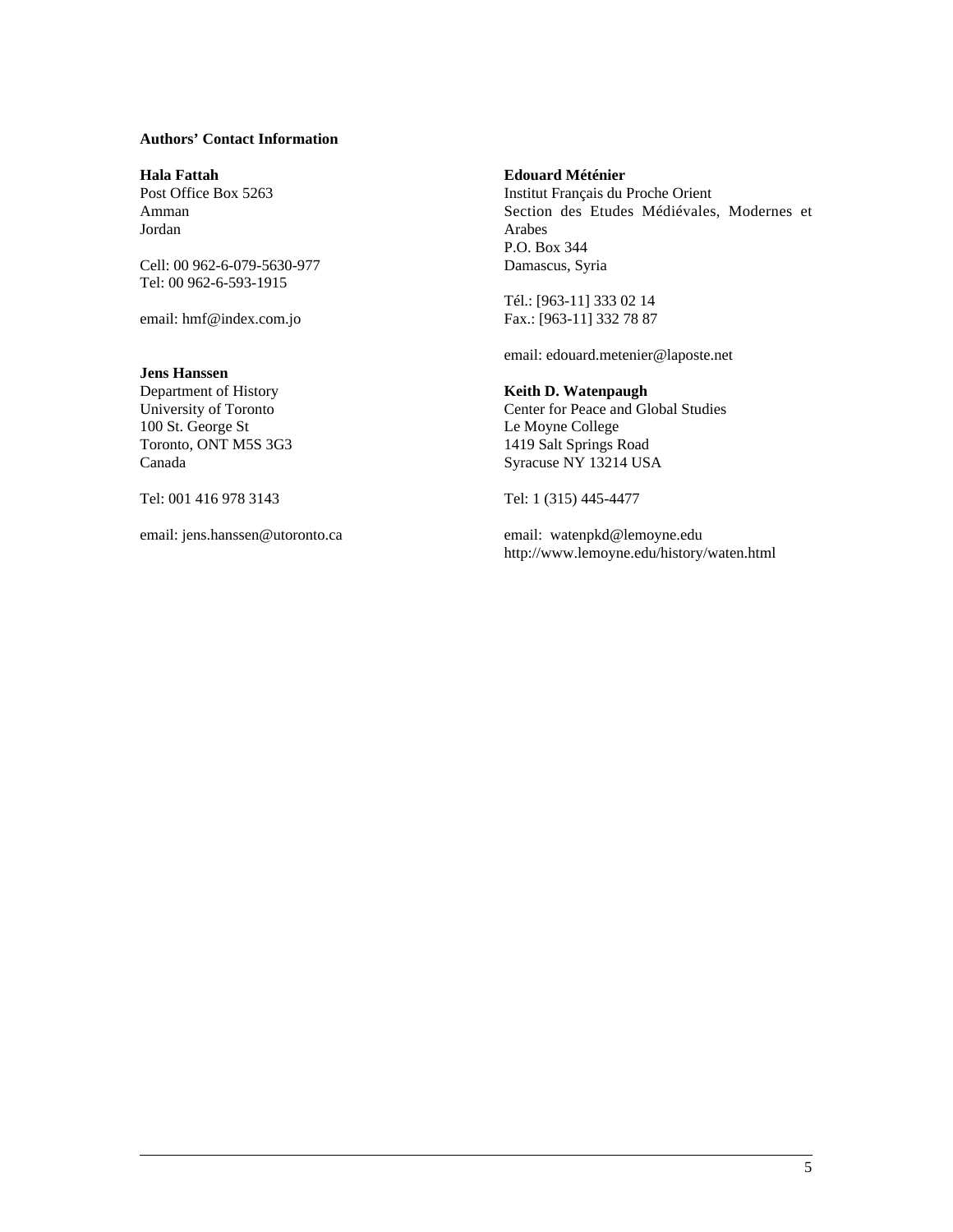### **Authors' Contact Information**

**Hala Fattah** Post Office Box 5263 Amman Jordan

Cell: 00 962-6-079-5630-977 Tel: 00 962-6-593-1915

email: hmf@index.com.jo

#### **Jens Hanssen**

 $\overline{a}$ 

Department of History University of Toronto 100 St. George St Toronto, ONT M5S 3G3 Canada

Tel: 001 416 978 3143

email: jens.hanssen@utoronto.ca

#### **Edouard Méténier**

Institut Français du Proche Orient Section des Etudes Médiévales, Modernes et Arabes P.O. Box 344 Damascus, Syria

Tél.: [963-11] 333 02 14 Fax.: [963-11] 332 78 87

email: edouard.metenier@laposte.net

#### **Keith D. Watenpaugh**

Center for Peace and Global Studies Le Moyne College 1419 Salt Springs Road Syracuse NY 13214 USA

Tel: 1 (315) 445-4477

email: watenpkd@lemoyne.edu http://www.lemoyne.edu/history/waten.html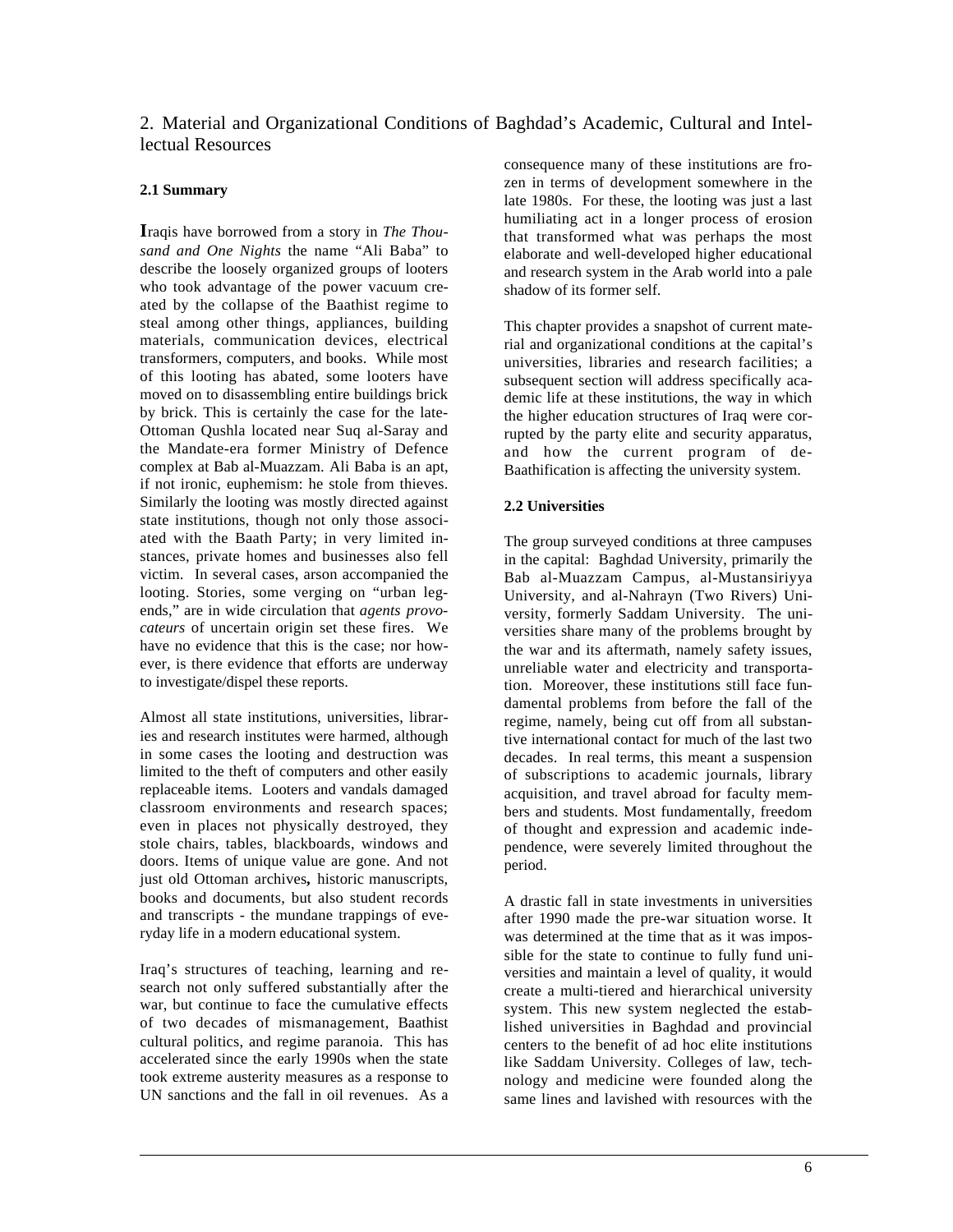2. Material and Organizational Conditions of Baghdad's Academic, Cultural and Intellectual Resources

### **2.1 Summary**

**I**raqis have borrowed from a story in *The Thousand and One Nights* the name "Ali Baba" to describe the loosely organized groups of looters who took advantage of the power vacuum created by the collapse of the Baathist regime to steal among other things, appliances, building materials, communication devices, electrical transformers, computers, and books. While most of this looting has abated, some looters have moved on to disassembling entire buildings brick by brick. This is certainly the case for the late-Ottoman Qushla located near Suq al-Saray and the Mandate-era former Ministry of Defence complex at Bab al-Muazzam. Ali Baba is an apt, if not ironic, euphemism: he stole from thieves. Similarly the looting was mostly directed against state institutions, though not only those associated with the Baath Party; in very limited instances, private homes and businesses also fell victim. In several cases, arson accompanied the looting. Stories, some verging on "urban legends," are in wide circulation that *agents provocateurs* of uncertain origin set these fires. We have no evidence that this is the case; nor however, is there evidence that efforts are underway to investigate/dispel these reports.

Almost all state institutions, universities, libraries and research institutes were harmed, although in some cases the looting and destruction was limited to the theft of computers and other easily replaceable items. Looters and vandals damaged classroom environments and research spaces; even in places not physically destroyed, they stole chairs, tables, blackboards, windows and doors. Items of unique value are gone. And not just old Ottoman archives**,** historic manuscripts, books and documents, but also student records and transcripts - the mundane trappings of everyday life in a modern educational system.

Iraq's structures of teaching, learning and research not only suffered substantially after the war, but continue to face the cumulative effects of two decades of mismanagement, Baathist cultural politics, and regime paranoia. This has accelerated since the early 1990s when the state took extreme austerity measures as a response to UN sanctions and the fall in oil revenues. As a

 $\overline{a}$ 

consequence many of these institutions are frozen in terms of development somewhere in the late 1980s. For these, the looting was just a last humiliating act in a longer process of erosion that transformed what was perhaps the most elaborate and well-developed higher educational and research system in the Arab world into a pale shadow of its former self.

This chapter provides a snapshot of current material and organizational conditions at the capital's universities, libraries and research facilities; a subsequent section will address specifically academic life at these institutions, the way in which the higher education structures of Iraq were corrupted by the party elite and security apparatus, and how the current program of de-Baathification is affecting the university system.

### **2.2 Universities**

The group surveyed conditions at three campuses in the capital: Baghdad University, primarily the Bab al-Muazzam Campus, al-Mustansiriyya University, and al-Nahrayn (Two Rivers) University, formerly Saddam University. The universities share many of the problems brought by the war and its aftermath, namely safety issues, unreliable water and electricity and transportation. Moreover, these institutions still face fundamental problems from before the fall of the regime, namely, being cut off from all substantive international contact for much of the last two decades. In real terms, this meant a suspension of subscriptions to academic journals, library acquisition, and travel abroad for faculty members and students. Most fundamentally, freedom of thought and expression and academic independence, were severely limited throughout the period.

A drastic fall in state investments in universities after 1990 made the pre-war situation worse. It was determined at the time that as it was impossible for the state to continue to fully fund universities and maintain a level of quality, it would create a multi-tiered and hierarchical university system. This new system neglected the established universities in Baghdad and provincial centers to the benefit of ad hoc elite institutions like Saddam University. Colleges of law, technology and medicine were founded along the same lines and lavished with resources with the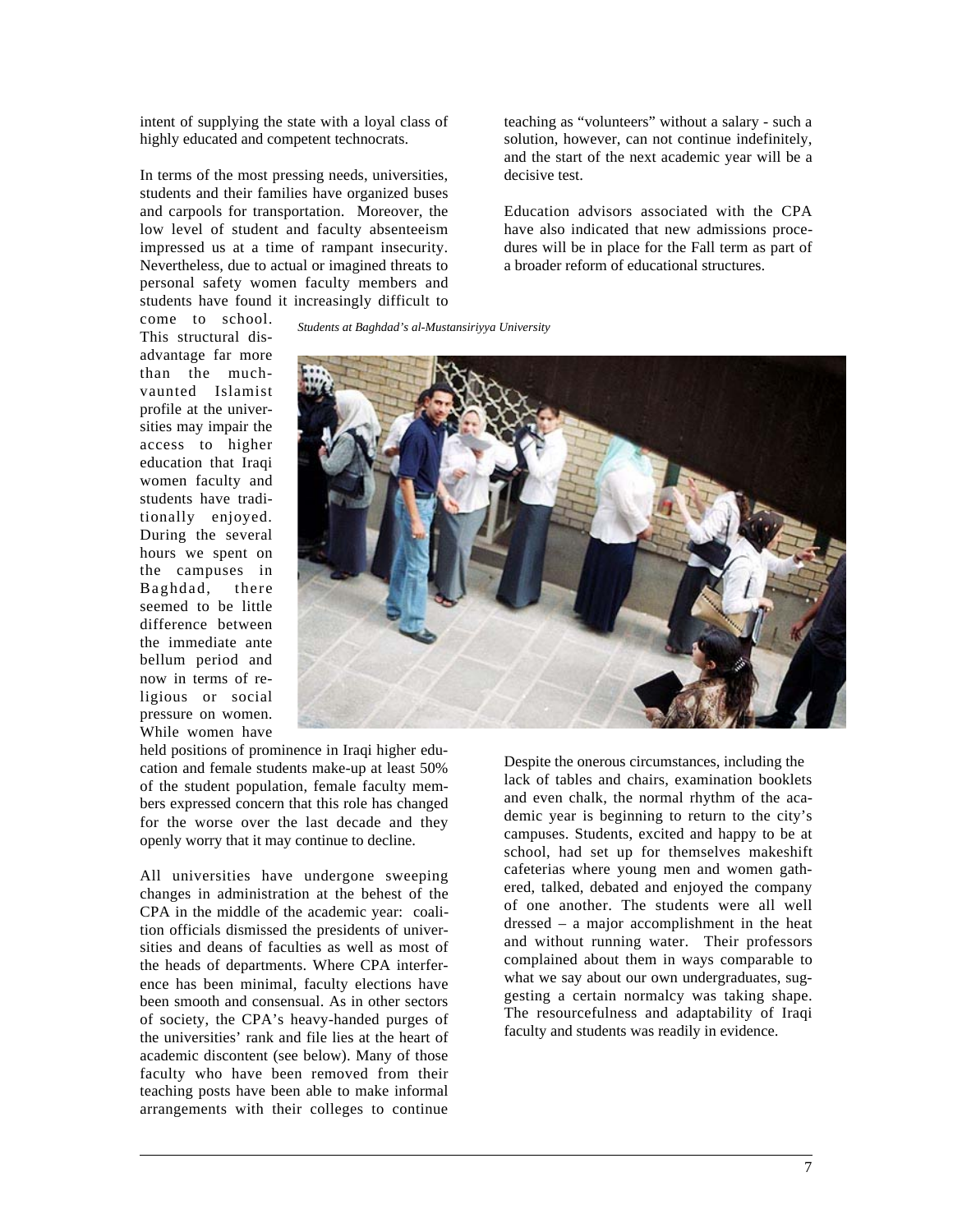intent of supplying the state with a loyal class of highly educated and competent technocrats.

In terms of the most pressing needs, universities, students and their families have organized buses and carpools for transportation. Moreover, the low level of student and faculty absenteeism impressed us at a time of rampant insecurity. Nevertheless, due to actual or imagined threats to personal safety women faculty members and students have found it increasingly difficult to teaching as "volunteers" without a salary - such a solution, however, can not continue indefinitely, and the start of the next academic year will be a decisive test.

Education advisors associated with the CPA have also indicated that new admissions procedures will be in place for the Fall term as part of a broader reform of educational structures.

*Students at Baghdad's al-Mustansiriyya University* come to school. This structural disadvantage far more than the muchvaunted Islamist profile at the universities may impair the access to higher education that Iraqi women faculty and students have traditionally enjoyed. During the several hours we spent on the campuses in Baghdad, there seemed to be little difference between the immediate ante bellum period and now in terms of re-

ligious or social pressure on women. While women have



held positions of prominence in Iraqi higher education and female students make-up at least 50% of the student population, female faculty members expressed concern that this role has changed for the worse over the last decade and they openly worry that it may continue to decline.

All universities have undergone sweeping changes in administration at the behest of the CPA in the middle of the academic year: coalition officials dismissed the presidents of universities and deans of faculties as well as most of the heads of departments. Where CPA interference has been minimal, faculty elections have been smooth and consensual. As in other sectors of society, the CPA's heavy-handed purges of the universities' rank and file lies at the heart of academic discontent (see below). Many of those faculty who have been removed from their teaching posts have been able to make informal arrangements with their colleges to continue

 $\overline{a}$ 

Despite the onerous circumstances, including the lack of tables and chairs, examination booklets and even chalk, the normal rhythm of the academic year is beginning to return to the city's campuses. Students, excited and happy to be at school, had set up for themselves makeshift cafeterias where young men and women gathered, talked, debated and enjoyed the company of one another. The students were all well dressed – a major accomplishment in the heat and without running water. Their professors complained about them in ways comparable to what we say about our own undergraduates, suggesting a certain normalcy was taking shape. The resourcefulness and adaptability of Iraqi faculty and students was readily in evidence.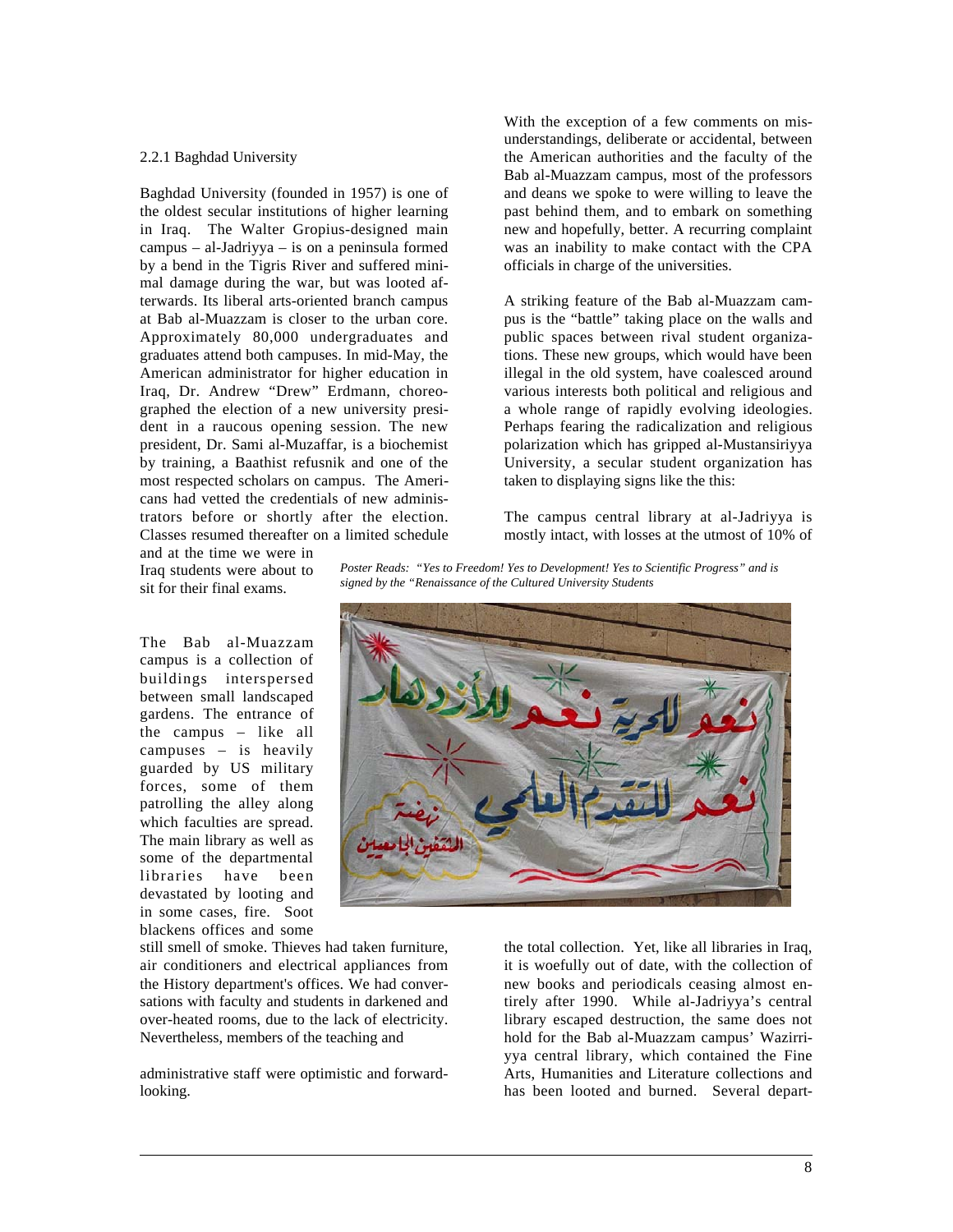#### 2.2.1 Baghdad University

Baghdad University (founded in 1957) is one of the oldest secular institutions of higher learning in Iraq. The Walter Gropius-designed main campus – al-Jadriyya – is on a peninsula formed by a bend in the Tigris River and suffered minimal damage during the war, but was looted afterwards. Its liberal arts-oriented branch campus at Bab al-Muazzam is closer to the urban core. Approximately 80,000 undergraduates and graduates attend both campuses. In mid-May, the American administrator for higher education in Iraq, Dr. Andrew "Drew" Erdmann, choreographed the election of a new university president in a raucous opening session. The new president, Dr. Sami al-Muzaffar, is a biochemist by training, a Baathist refusnik and one of the most respected scholars on campus. The Americans had vetted the credentials of new administrators before or shortly after the election. Classes resumed thereafter on a limited schedule With the exception of a few comments on misunderstandings, deliberate or accidental, between the American authorities and the faculty of the Bab al-Muazzam campus, most of the professors and deans we spoke to were willing to leave the past behind them, and to embark on something new and hopefully, better. A recurring complaint was an inability to make contact with the CPA officials in charge of the universities.

A striking feature of the Bab al-Muazzam campus is the "battle" taking place on the walls and public spaces between rival student organizations. These new groups, which would have been illegal in the old system, have coalesced around various interests both political and religious and a whole range of rapidly evolving ideologies. Perhaps fearing the radicalization and religious polarization which has gripped al-Mustansiriyya University, a secular student organization has taken to displaying signs like the this:

The campus central library at al-Jadriyya is mostly intact, with losses at the utmost of 10% of

and at the time we were in Iraq students were about to sit for their final exams.

The Bab al-Muazzam campus is a collection of buildings interspersed between small landscaped gardens. The entrance of the campus – like all campuses – is heavily guarded by US military forces, some of them patrolling the alley along which faculties are spread. The main library as well as some of the departmental libraries have been devastated by looting and in some cases, fire. Soot blackens offices and some

 $\overline{a}$ 

still smell of smoke. Thieves had taken furniture, air conditioners and electrical appliances from the History department's offices. We had conversations with faculty and students in darkened and over-heated rooms, due to the lack of electricity. Nevertheless, members of the teaching and

administrative staff were optimistic and forwardlooking.

*Poster Reads: "Yes to Freedom! Yes to Development! Yes to Scientific Progress" and is signed by the "Renaissance of the Cultured University Students*



the total collection. Yet, like all libraries in Iraq, it is woefully out of date, with the collection of new books and periodicals ceasing almost entirely after 1990. While al-Jadriyya's central library escaped destruction, the same does not hold for the Bab al-Muazzam campus' Wazirriyya central library, which contained the Fine Arts, Humanities and Literature collections and has been looted and burned. Several depart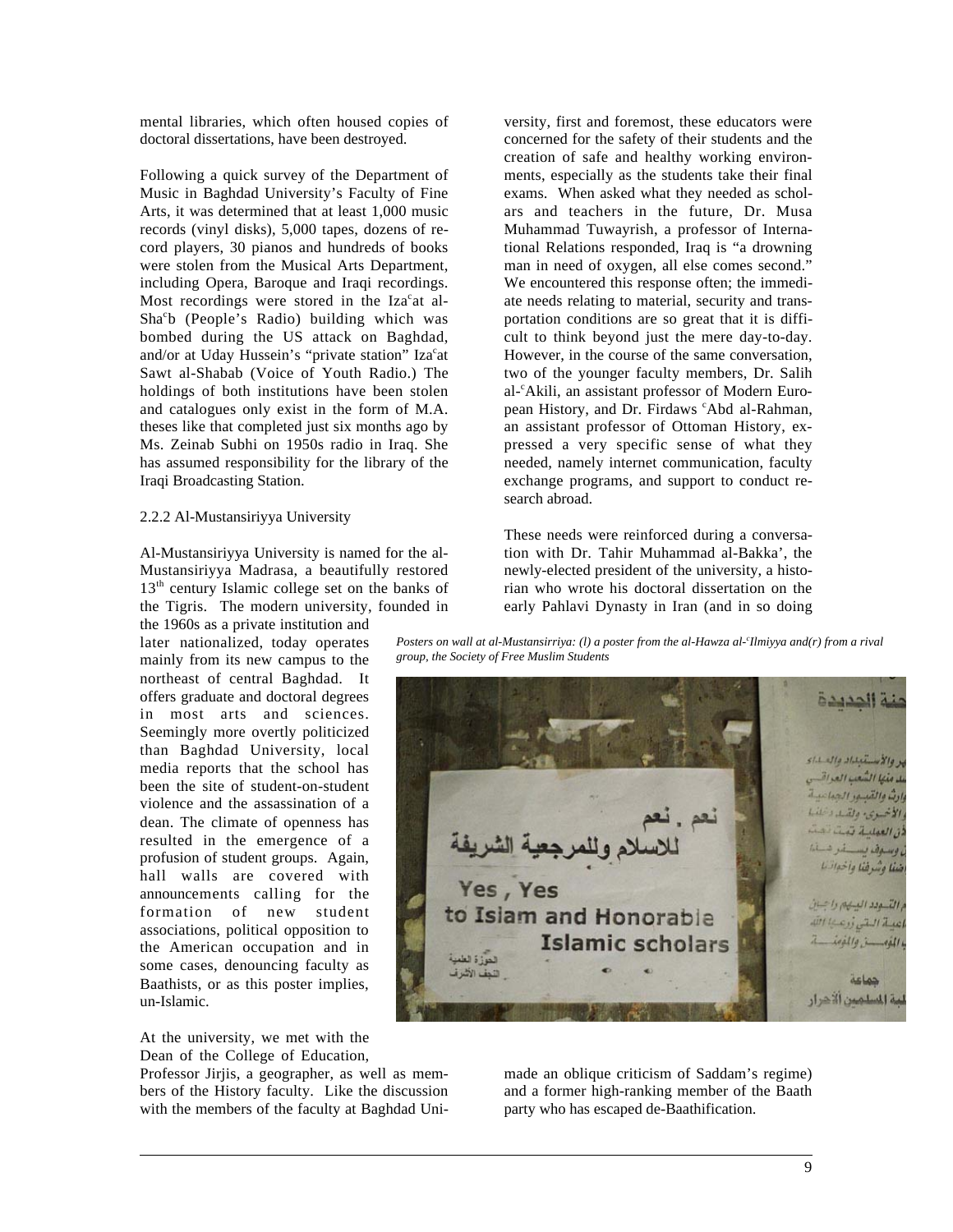mental libraries, which often housed copies of doctoral dissertations, have been destroyed.

Following a quick survey of the Department of Music in Baghdad University's Faculty of Fine Arts, it was determined that at least 1,000 music records (vinyl disks), 5,000 tapes, dozens of record players, 30 pianos and hundreds of books were stolen from the Musical Arts Department, including Opera, Baroque and Iraqi recordings. Most recordings were stored in the Iza<sup>c</sup>at al-Sha<sup>c</sup>b (People's Radio) building which was bombed during the US attack on Baghdad, and/or at Uday Hussein's "private station" Iza<sup>c</sup>at Sawt al-Shabab (Voice of Youth Radio.) The holdings of both institutions have been stolen and catalogues only exist in the form of M.A. theses like that completed just six months ago by Ms. Zeinab Subhi on 1950s radio in Iraq. She has assumed responsibility for the library of the Iraqi Broadcasting Station.

#### 2.2.2 Al-Mustansiriyya University

Al-Mustansiriyya University is named for the al-Mustansiriyya Madrasa, a beautifully restored  $13<sup>th</sup>$  century Islamic college set on the banks of the Tigris. The modern university, founded in

the 1960s as a private institution and later nationalized, today operates mainly from its new campus to the northeast of central Baghdad. It offers graduate and doctoral degrees in most arts and sciences. Seemingly more overtly politicized than Baghdad University, local media reports that the school has been the site of student-on-student violence and the assassination of a dean. The climate of openness has resulted in the emergence of a profusion of student groups. Again, hall walls are covered with announcements calling for the formation of new student associations, political opposition to the American occupation and in some cases, denouncing faculty as Baathists, or as this poster implies, un-Islamic.

At the university, we met with the Dean of the College of Education,

 $\overline{a}$ 

Professor Jirjis, a geographer, as well as members of the History faculty. Like the discussion with the members of the faculty at Baghdad University, first and foremost, these educators were concerned for the safety of their students and the creation of safe and healthy working environments, especially as the students take their final exams. When asked what they needed as scholars and teachers in the future, Dr. Musa Muhammad Tuwayrish, a professor of International Relations responded, Iraq is "a drowning man in need of oxygen, all else comes second." We encountered this response often; the immediate needs relating to material, security and transportation conditions are so great that it is difficult to think beyond just the mere day-to-day. However, in the course of the same conversation, two of the younger faculty members, Dr. Salih al-<sup>c</sup>Akili, an assistant professor of Modern European History, and Dr. Firdaws 'Abd al-Rahman, an assistant professor of Ottoman History, expressed a very specific sense of what they needed, namely internet communication, faculty exchange programs, and support to conduct research abroad.

These needs were reinforced during a conversation with Dr. Tahir Muhammad al-Bakka', the newly-elected president of the university, a historian who wrote his doctoral dissertation on the early Pahlavi Dynasty in Iran (and in so doing

*Posters on wall at al-Mustansirriya: (l) a poster from the al-Hawza al-c Ilmiyya and(r) from a rival group, the Society of Free Muslim Students*



made an oblique criticism of Saddam's regime) and a former high-ranking member of the Baath party who has escaped de-Baathification.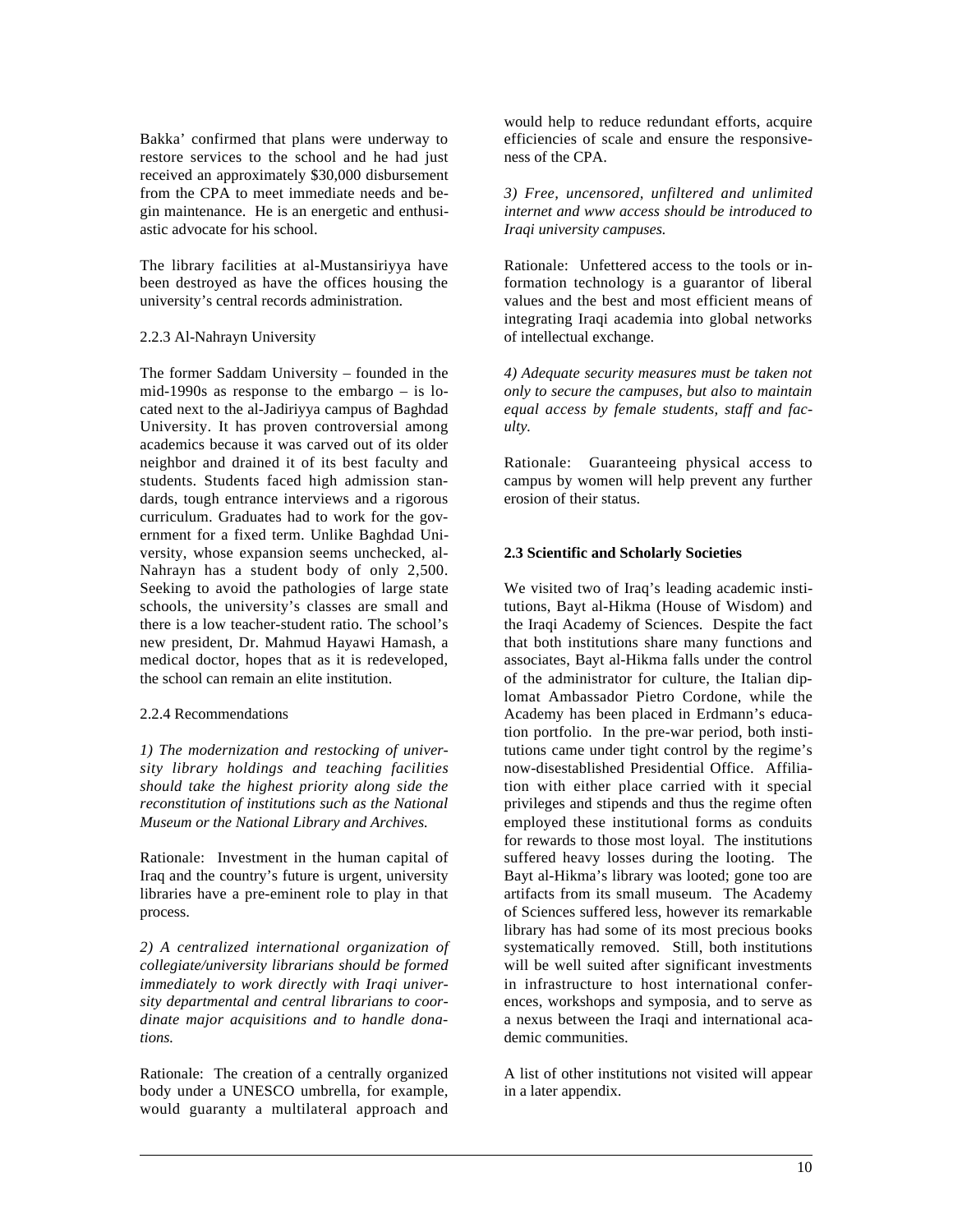Bakka' confirmed that plans were underway to restore services to the school and he had just received an approximately \$30,000 disbursement from the CPA to meet immediate needs and begin maintenance. He is an energetic and enthusiastic advocate for his school.

The library facilities at al-Mustansiriyya have been destroyed as have the offices housing the university's central records administration.

### 2.2.3 Al-Nahrayn University

The former Saddam University – founded in the mid-1990s as response to the embargo – is located next to the al-Jadiriyya campus of Baghdad University. It has proven controversial among academics because it was carved out of its older neighbor and drained it of its best faculty and students. Students faced high admission standards, tough entrance interviews and a rigorous curriculum. Graduates had to work for the government for a fixed term. Unlike Baghdad University, whose expansion seems unchecked, al-Nahrayn has a student body of only 2,500. Seeking to avoid the pathologies of large state schools, the university's classes are small and there is a low teacher-student ratio. The school's new president, Dr. Mahmud Hayawi Hamash, a medical doctor, hopes that as it is redeveloped, the school can remain an elite institution.

### 2.2.4 Recommendations

 $\overline{a}$ 

*1) The modernization and restocking of university library holdings and teaching facilities should take the highest priority along side the reconstitution of institutions such as the National Museum or the National Library and Archives.*

Rationale: Investment in the human capital of Iraq and the country's future is urgent, university libraries have a pre-eminent role to play in that process.

*2) A centralized international organization of collegiate/university librarians should be formed immediately to work directly with Iraqi university departmental and central librarians to coordinate major acquisitions and to handle donations.*

Rationale: The creation of a centrally organized body under a UNESCO umbrella, for example, would guaranty a multilateral approach and would help to reduce redundant efforts, acquire efficiencies of scale and ensure the responsiveness of the CPA.

*3) Free, uncensored, unfiltered and unlimited internet and www access should be introduced to Iraqi university campuses.*

Rationale: Unfettered access to the tools or information technology is a guarantor of liberal values and the best and most efficient means of integrating Iraqi academia into global networks of intellectual exchange.

*4) Adequate security measures must be taken not only to secure the campuses, but also to maintain equal access by female students, staff and faculty.*

Rationale: Guaranteeing physical access to campus by women will help prevent any further erosion of their status.

### **2.3 Scientific and Scholarly Societies**

We visited two of Iraq's leading academic institutions, Bayt al-Hikma (House of Wisdom) and the Iraqi Academy of Sciences. Despite the fact that both institutions share many functions and associates, Bayt al-Hikma falls under the control of the administrator for culture, the Italian diplomat Ambassador Pietro Cordone, while the Academy has been placed in Erdmann's education portfolio. In the pre-war period, both institutions came under tight control by the regime's now-disestablished Presidential Office. Affiliation with either place carried with it special privileges and stipends and thus the regime often employed these institutional forms as conduits for rewards to those most loyal. The institutions suffered heavy losses during the looting. The Bayt al-Hikma's library was looted; gone too are artifacts from its small museum. The Academy of Sciences suffered less, however its remarkable library has had some of its most precious books systematically removed. Still, both institutions will be well suited after significant investments in infrastructure to host international conferences, workshops and symposia, and to serve as a nexus between the Iraqi and international academic communities.

A list of other institutions not visited will appear in a later appendix.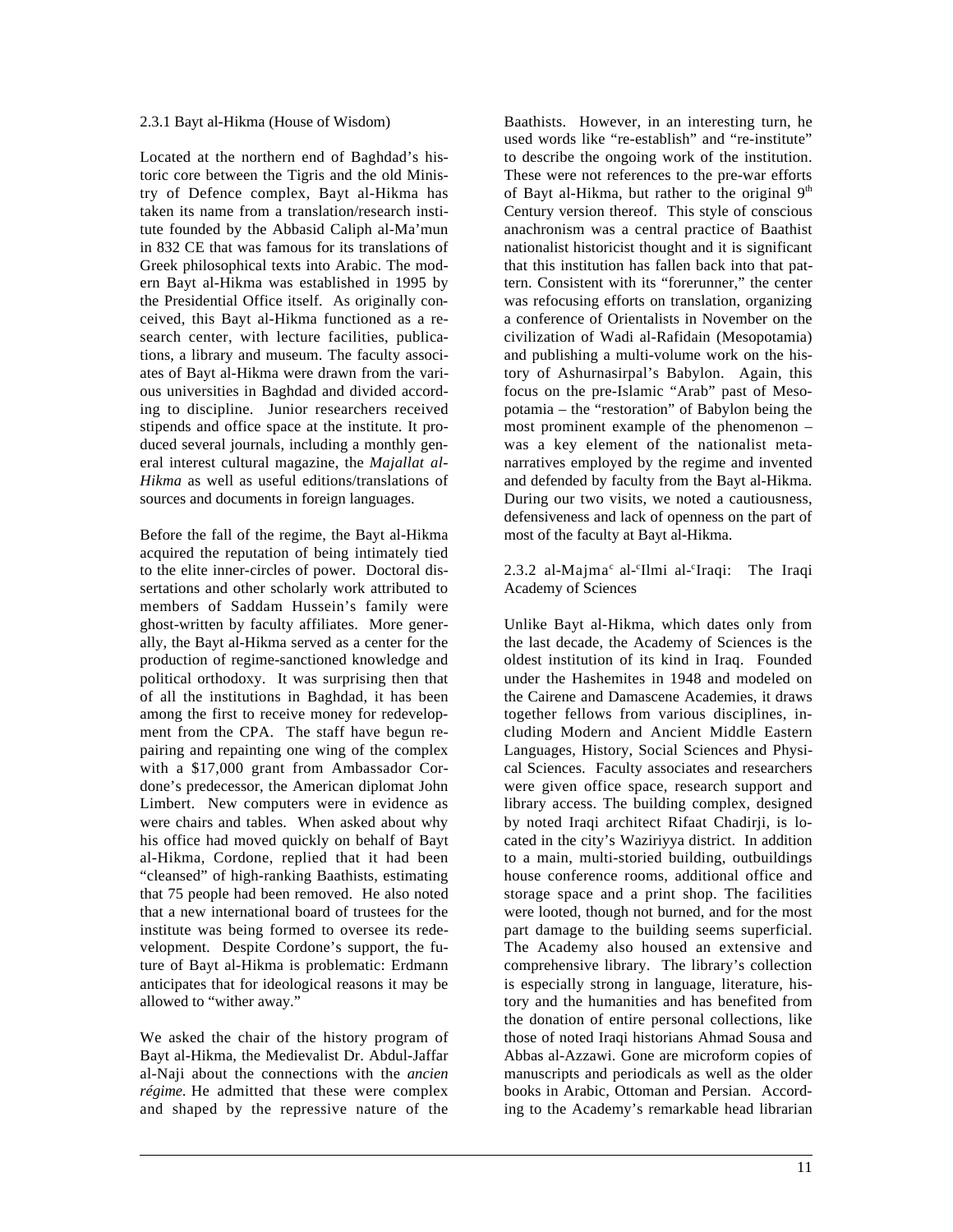#### 2.3.1 Bayt al-Hikma (House of Wisdom)

Located at the northern end of Baghdad's historic core between the Tigris and the old Ministry of Defence complex, Bayt al-Hikma has taken its name from a translation/research institute founded by the Abbasid Caliph al-Ma'mun in 832 CE that was famous for its translations of Greek philosophical texts into Arabic. The modern Bayt al-Hikma was established in 1995 by the Presidential Office itself. As originally conceived, this Bayt al-Hikma functioned as a research center, with lecture facilities, publications, a library and museum. The faculty associates of Bayt al-Hikma were drawn from the various universities in Baghdad and divided according to discipline. Junior researchers received stipends and office space at the institute. It produced several journals, including a monthly general interest cultural magazine, the *Majallat al-Hikma* as well as useful editions/translations of sources and documents in foreign languages.

Before the fall of the regime, the Bayt al-Hikma acquired the reputation of being intimately tied to the elite inner-circles of power. Doctoral dissertations and other scholarly work attributed to members of Saddam Hussein's family were ghost-written by faculty affiliates. More generally, the Bayt al-Hikma served as a center for the production of regime-sanctioned knowledge and political orthodoxy. It was surprising then that of all the institutions in Baghdad, it has been among the first to receive money for redevelopment from the CPA. The staff have begun repairing and repainting one wing of the complex with a \$17,000 grant from Ambassador Cordone's predecessor, the American diplomat John Limbert. New computers were in evidence as were chairs and tables. When asked about why his office had moved quickly on behalf of Bayt al-Hikma, Cordone, replied that it had been "cleansed" of high-ranking Baathists, estimating that 75 people had been removed. He also noted that a new international board of trustees for the institute was being formed to oversee its redevelopment. Despite Cordone's support, the future of Bayt al-Hikma is problematic: Erdmann anticipates that for ideological reasons it may be allowed to "wither away."

We asked the chair of the history program of Bayt al-Hikma, the Medievalist Dr. Abdul-Jaffar al-Naji about the connections with the *ancien régime.* He admitted that these were complex and shaped by the repressive nature of the

 $\overline{a}$ 

Baathists. However, in an interesting turn, he used words like "re-establish" and "re-institute" to describe the ongoing work of the institution. These were not references to the pre-war efforts of Bayt al-Hikma, but rather to the original  $9<sup>th</sup>$ Century version thereof. This style of conscious anachronism was a central practice of Baathist nationalist historicist thought and it is significant that this institution has fallen back into that pattern. Consistent with its "forerunner," the center was refocusing efforts on translation, organizing a conference of Orientalists in November on the civilization of Wadi al-Rafidain (Mesopotamia) and publishing a multi-volume work on the history of Ashurnasirpal's Babylon. Again, this focus on the pre-Islamic "Arab" past of Mesopotamia – the "restoration" of Babylon being the most prominent example of the phenomenon – was a key element of the nationalist metanarratives employed by the regime and invented and defended by faculty from the Bayt al-Hikma. During our two visits, we noted a cautiousness, defensiveness and lack of openness on the part of most of the faculty at Bayt al-Hikma.

 $2.3.2$  al-Majma<sup>c</sup> al-<sup>c</sup>Ilmi al-<sup>c</sup> Iraqi: The Iraqi Academy of Sciences

Unlike Bayt al-Hikma, which dates only from the last decade, the Academy of Sciences is the oldest institution of its kind in Iraq. Founded under the Hashemites in 1948 and modeled on the Cairene and Damascene Academies, it draws together fellows from various disciplines, including Modern and Ancient Middle Eastern Languages, History, Social Sciences and Physical Sciences. Faculty associates and researchers were given office space, research support and library access. The building complex, designed by noted Iraqi architect Rifaat Chadirji, is located in the city's Waziriyya district. In addition to a main, multi-storied building, outbuildings house conference rooms, additional office and storage space and a print shop. The facilities were looted, though not burned, and for the most part damage to the building seems superficial. The Academy also housed an extensive and comprehensive library. The library's collection is especially strong in language, literature, history and the humanities and has benefited from the donation of entire personal collections, like those of noted Iraqi historians Ahmad Sousa and Abbas al-Azzawi. Gone are microform copies of manuscripts and periodicals as well as the older books in Arabic, Ottoman and Persian. According to the Academy's remarkable head librarian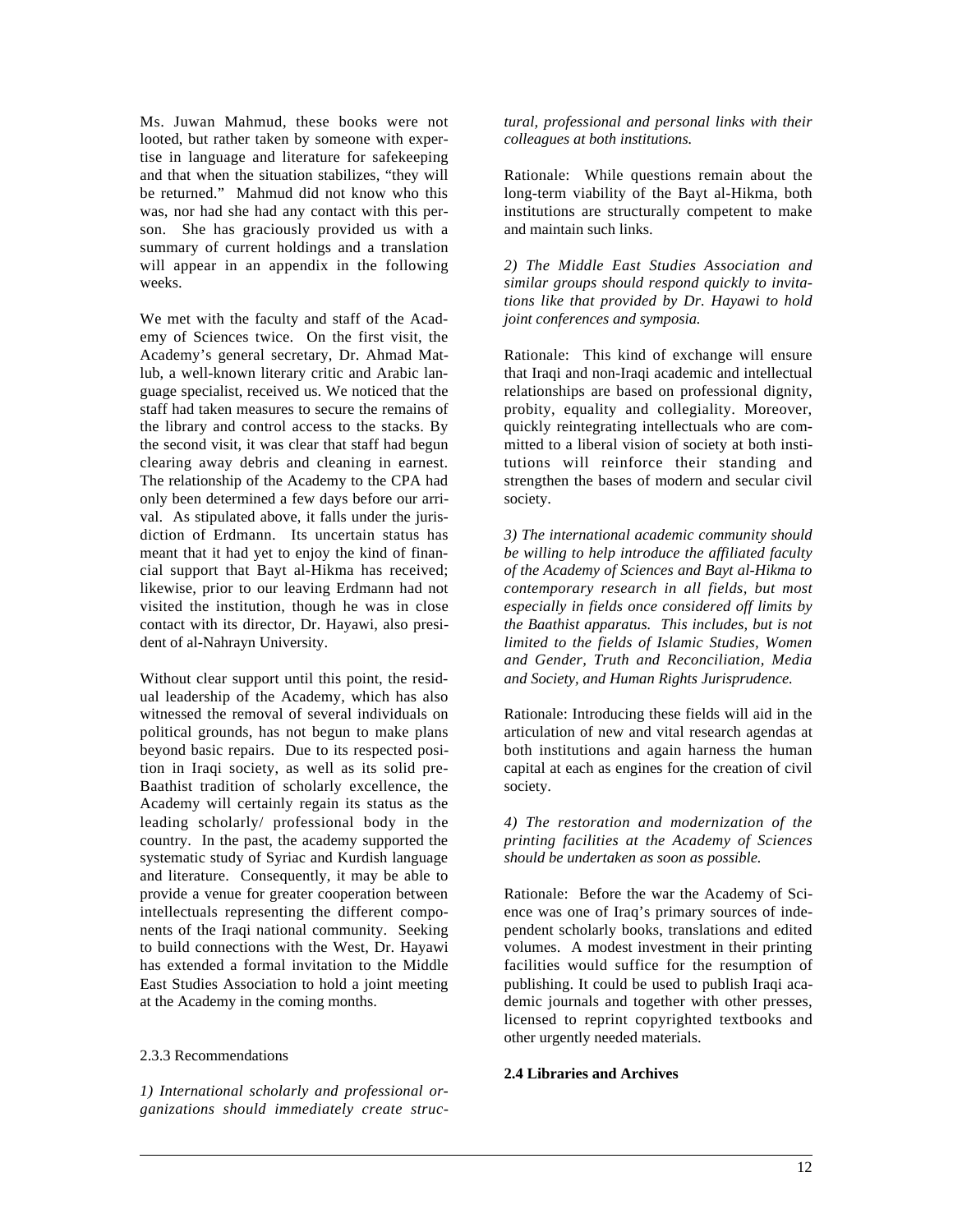Ms. Juwan Mahmud, these books were not looted, but rather taken by someone with expertise in language and literature for safekeeping and that when the situation stabilizes, "they will be returned." Mahmud did not know who this was, nor had she had any contact with this person. She has graciously provided us with a summary of current holdings and a translation will appear in an appendix in the following weeks.

We met with the faculty and staff of the Academy of Sciences twice. On the first visit, the Academy's general secretary, Dr. Ahmad Matlub, a well-known literary critic and Arabic language specialist, received us. We noticed that the staff had taken measures to secure the remains of the library and control access to the stacks. By the second visit, it was clear that staff had begun clearing away debris and cleaning in earnest. The relationship of the Academy to the CPA had only been determined a few days before our arrival. As stipulated above, it falls under the jurisdiction of Erdmann. Its uncertain status has meant that it had yet to enjoy the kind of financial support that Bayt al-Hikma has received; likewise, prior to our leaving Erdmann had not visited the institution, though he was in close contact with its director, Dr. Hayawi, also president of al-Nahrayn University.

Without clear support until this point, the residual leadership of the Academy, which has also witnessed the removal of several individuals on political grounds, has not begun to make plans beyond basic repairs. Due to its respected position in Iraqi society, as well as its solid pre-Baathist tradition of scholarly excellence, the Academy will certainly regain its status as the leading scholarly/ professional body in the country. In the past, the academy supported the systematic study of Syriac and Kurdish language and literature. Consequently, it may be able to provide a venue for greater cooperation between intellectuals representing the different components of the Iraqi national community. Seeking to build connections with the West, Dr. Hayawi has extended a formal invitation to the Middle East Studies Association to hold a joint meeting at the Academy in the coming months.

#### 2.3.3 Recommendations

 $\overline{a}$ 

*1) International scholarly and professional organizations should immediately create struc-* *tural, professional and personal links with their colleagues at both institutions.*

Rationale: While questions remain about the long-term viability of the Bayt al-Hikma, both institutions are structurally competent to make and maintain such links.

*2) The Middle East Studies Association and similar groups should respond quickly to invitations like that provided by Dr. Hayawi to hold joint conferences and symposia.*

Rationale: This kind of exchange will ensure that Iraqi and non-Iraqi academic and intellectual relationships are based on professional dignity, probity, equality and collegiality. Moreover, quickly reintegrating intellectuals who are committed to a liberal vision of society at both institutions will reinforce their standing and strengthen the bases of modern and secular civil society.

*3) The international academic community should be willing to help introduce the affiliated faculty of the Academy of Sciences and Bayt al-Hikma to contemporary research in all fields, but most especially in fields once considered off limits by the Baathist apparatus. This includes, but is not limited to the fields of Islamic Studies, Women and Gender, Truth and Reconciliation, Media and Society, and Human Rights Jurisprudence.*

Rationale: Introducing these fields will aid in the articulation of new and vital research agendas at both institutions and again harness the human capital at each as engines for the creation of civil society.

*4) The restoration and modernization of the printing facilities at the Academy of Sciences should be undertaken as soon as possible.*

Rationale: Before the war the Academy of Science was one of Iraq's primary sources of independent scholarly books, translations and edited volumes. A modest investment in their printing facilities would suffice for the resumption of publishing. It could be used to publish Iraqi academic journals and together with other presses, licensed to reprint copyrighted textbooks and other urgently needed materials.

#### **2.4 Libraries and Archives**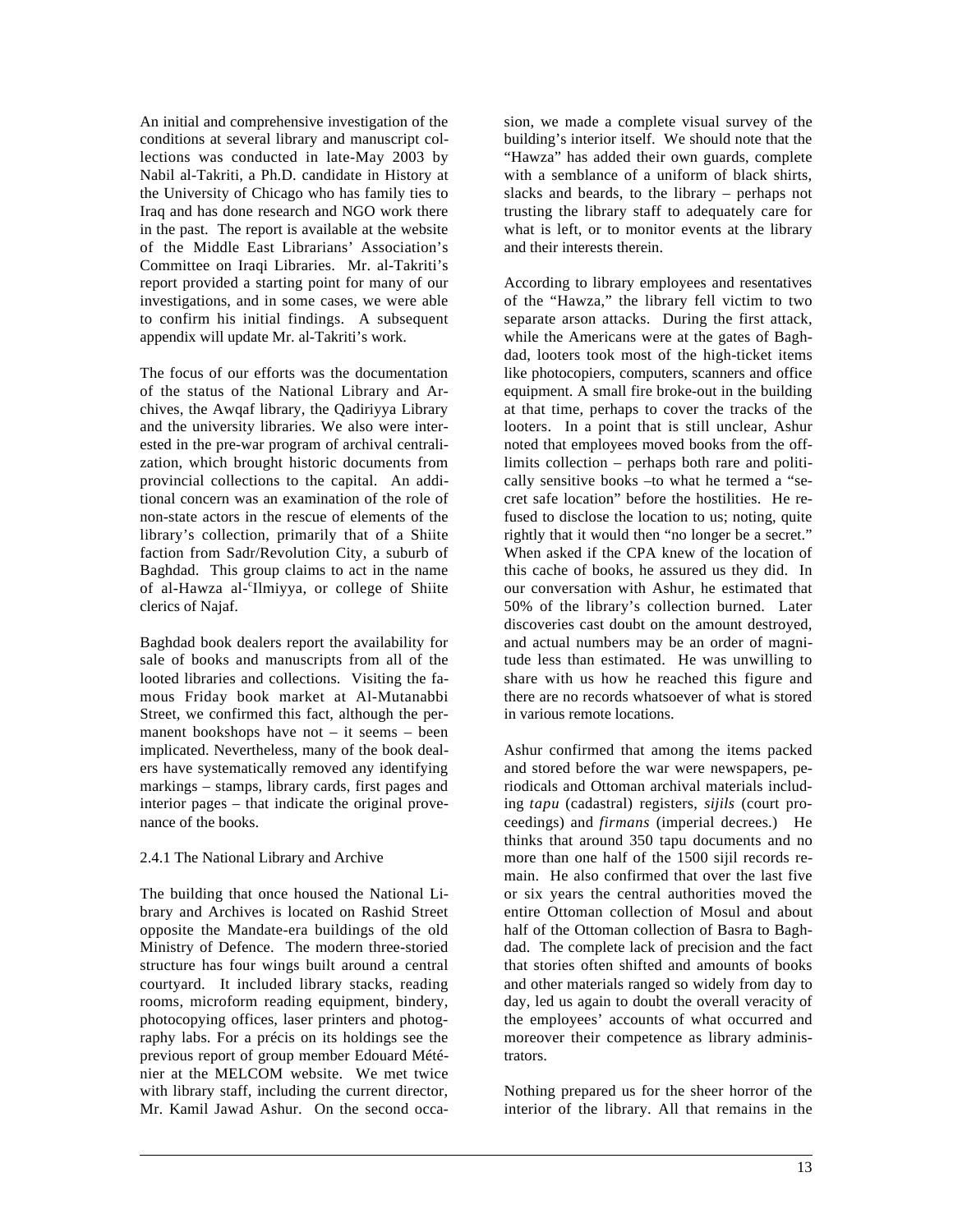An initial and comprehensive investigation of the conditions at several library and manuscript collections was conducted in late-May 2003 by Nabil al-Takriti, a Ph.D. candidate in History at the University of Chicago who has family ties to Iraq and has done research and NGO work there in the past. The report is available at the website of the Middle East Librarians' Association's Committee on Iraqi Libraries. Mr. al-Takriti's report provided a starting point for many of our investigations, and in some cases, we were able to confirm his initial findings. A subsequent appendix will update Mr. al-Takriti's work.

The focus of our efforts was the documentation of the status of the National Library and Archives, the Awqaf library, the Qadiriyya Library and the university libraries. We also were interested in the pre-war program of archival centralization, which brought historic documents from provincial collections to the capital. An additional concern was an examination of the role of non-state actors in the rescue of elements of the library's collection, primarily that of a Shiite faction from Sadr/Revolution City, a suburb of Baghdad. This group claims to act in the name of al-Hawza al-'Ilmiyya, or college of Shiite clerics of Najaf.

Baghdad book dealers report the availability for sale of books and manuscripts from all of the looted libraries and collections. Visiting the famous Friday book market at Al-Mutanabbi Street, we confirmed this fact, although the permanent bookshops have not – it seems – been implicated. Nevertheless, many of the book dealers have systematically removed any identifying markings – stamps, library cards, first pages and interior pages – that indicate the original provenance of the books.

### 2.4.1 The National Library and Archive

 $\overline{a}$ 

The building that once housed the National Library and Archives is located on Rashid Street opposite the Mandate-era buildings of the old Ministry of Defence. The modern three-storied structure has four wings built around a central courtyard. It included library stacks, reading rooms, microform reading equipment, bindery, photocopying offices, laser printers and photography labs. For a précis on its holdings see the previous report of group member Edouard Méténier at the MELCOM website. We met twice with library staff, including the current director, Mr. Kamil Jawad Ashur. On the second occasion, we made a complete visual survey of the building's interior itself. We should note that the "Hawza" has added their own guards, complete with a semblance of a uniform of black shirts, slacks and beards, to the library – perhaps not trusting the library staff to adequately care for what is left, or to monitor events at the library and their interests therein.

According to library employees and resentatives of the "Hawza," the library fell victim to two separate arson attacks. During the first attack, while the Americans were at the gates of Baghdad, looters took most of the high-ticket items like photocopiers, computers, scanners and office equipment. A small fire broke-out in the building at that time, perhaps to cover the tracks of the looters. In a point that is still unclear, Ashur noted that employees moved books from the offlimits collection – perhaps both rare and politically sensitive books –to what he termed a "secret safe location" before the hostilities. He refused to disclose the location to us; noting, quite rightly that it would then "no longer be a secret." When asked if the CPA knew of the location of this cache of books, he assured us they did. In our conversation with Ashur, he estimated that 50% of the library's collection burned. Later discoveries cast doubt on the amount destroyed, and actual numbers may be an order of magnitude less than estimated. He was unwilling to share with us how he reached this figure and there are no records whatsoever of what is stored in various remote locations.

Ashur confirmed that among the items packed and stored before the war were newspapers, periodicals and Ottoman archival materials including *tapu* (cadastral) registers, *sijils* (court proceedings) and *firmans* (imperial decrees.) He thinks that around 350 tapu documents and no more than one half of the 1500 sijil records remain. He also confirmed that over the last five or six years the central authorities moved the entire Ottoman collection of Mosul and about half of the Ottoman collection of Basra to Baghdad. The complete lack of precision and the fact that stories often shifted and amounts of books and other materials ranged so widely from day to day, led us again to doubt the overall veracity of the employees' accounts of what occurred and moreover their competence as library administrators.

Nothing prepared us for the sheer horror of the interior of the library. All that remains in the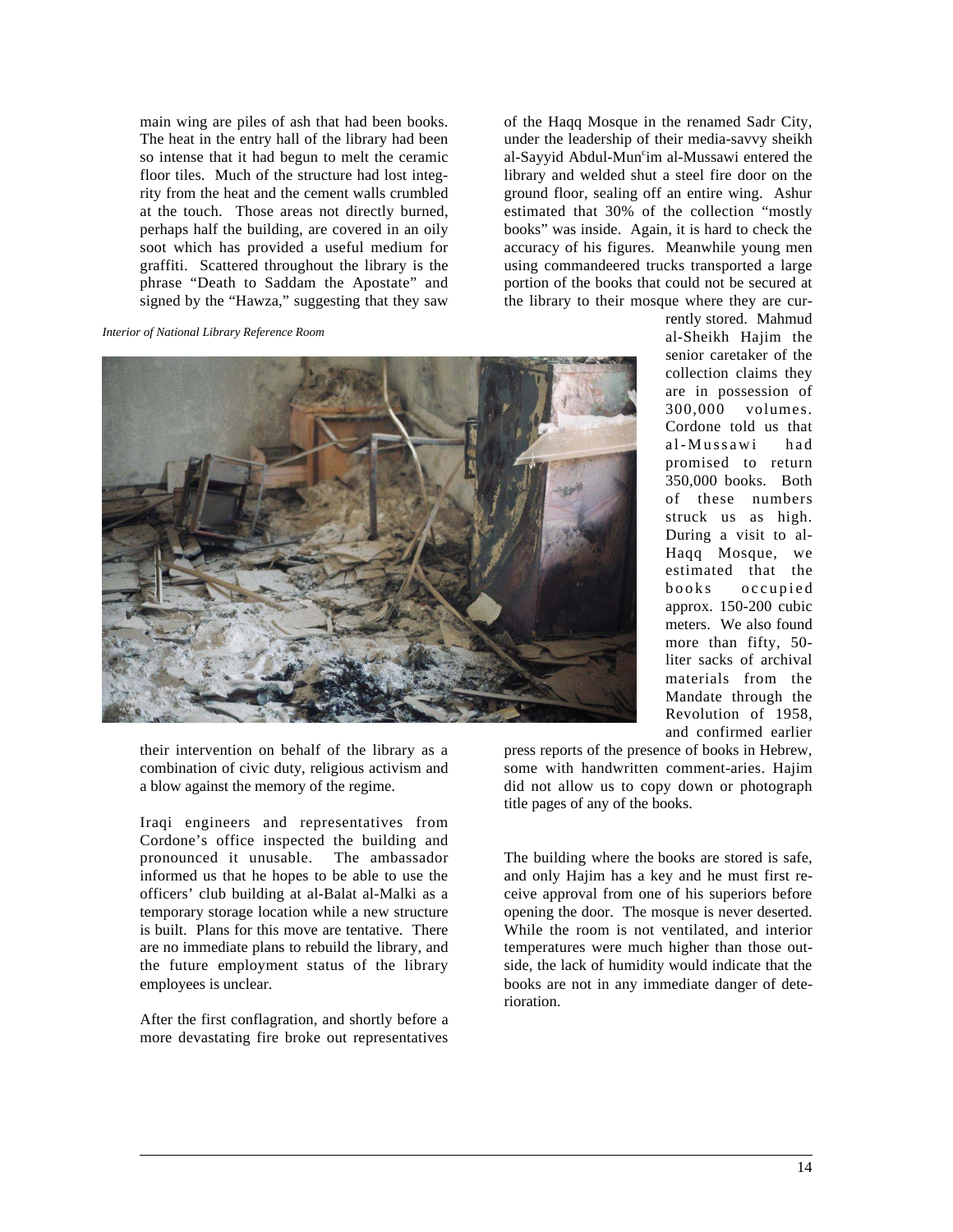main wing are piles of ash that had been books. The heat in the entry hall of the library had been so intense that it had begun to melt the ceramic floor tiles. Much of the structure had lost integrity from the heat and the cement walls crumbled at the touch. Those areas not directly burned, perhaps half the building, are covered in an oily soot which has provided a useful medium for graffiti. Scattered throughout the library is the phrase "Death to Saddam the Apostate" and signed by the "Hawza," suggesting that they saw

*Interior of National Library Reference Room*



their intervention on behalf of the library as a combination of civic duty, religious activism and a blow against the memory of the regime.

Iraqi engineers and representatives from Cordone's office inspected the building and pronounced it unusable. The ambassador informed us that he hopes to be able to use the officers' club building at al-Balat al-Malki as a temporary storage location while a new structure is built. Plans for this move are tentative. There are no immediate plans to rebuild the library, and the future employment status of the library employees is unclear.

After the first conflagration, and shortly before a more devastating fire broke out representatives

 $\overline{a}$ 

of the Haqq Mosque in the renamed Sadr City, under the leadership of their media-savvy sheikh al-Sayyid Abdul-Muncim al-Mussawi entered the library and welded shut a steel fire door on the ground floor, sealing off an entire wing. Ashur estimated that 30% of the collection "mostly books" was inside. Again, it is hard to check the accuracy of his figures. Meanwhile young men using commandeered trucks transported a large portion of the books that could not be secured at the library to their mosque where they are cur-

rently stored. Mahmud al-Sheikh Hajim the senior caretaker of the collection claims they are in possession of 300,000 volumes. Cordone told us that al-Mussawi had promised to return 350,000 books. Both of these numbers struck us as high. During a visit to al-Haqq Mosque, we estimated that the books occupied approx. 150-200 cubic meters. We also found more than fifty, 50 liter sacks of archival materials from the Mandate through the Revolution of 1958, and confirmed earlier

press reports of the presence of books in Hebrew, some with handwritten comment-aries. Hajim did not allow us to copy down or photograph title pages of any of the books.

The building where the books are stored is safe, and only Hajim has a key and he must first receive approval from one of his superiors before opening the door. The mosque is never deserted. While the room is not ventilated, and interior temperatures were much higher than those outside, the lack of humidity would indicate that the books are not in any immediate danger of deterioration.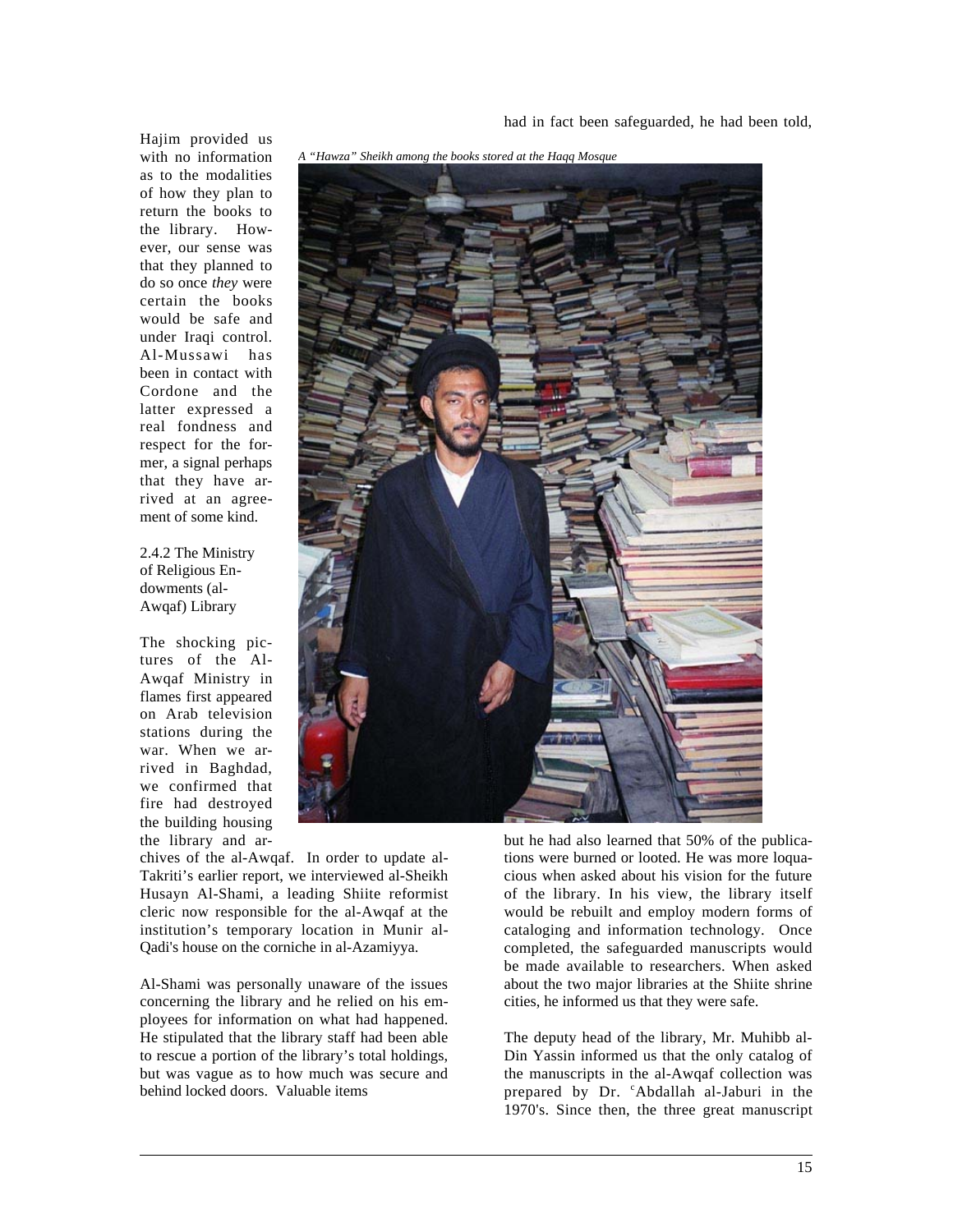had in fact been safeguarded, he had been told,

Hajim provided us with no information as to the modalities of how they plan to return the books to the library. However, our sense was that they planned to do so once *they* were certain the books would be safe and under Iraqi control. Al-Mussawi has been in contact with Cordone and the latter expressed a real fondness and respect for the former, a signal perhaps that they have arrived at an agreement of some kind.

2.4.2 The Ministry of Religious Endowments (al-Awqaf) Library

The shocking pictures of the Al-Awqaf Ministry in flames first appeared on Arab television stations during the war. When we arrived in Baghdad, we confirmed that fire had destroyed the building housing the library and ar-

 $\overline{a}$ 



chives of the al-Awqaf. In order to update al-Takriti's earlier report, we interviewed al-Sheikh Husayn Al-Shami, a leading Shiite reformist cleric now responsible for the al-Awqaf at the institution's temporary location in Munir al-Qadi's house on the corniche in al-Azamiyya.

Al-Shami was personally unaware of the issues concerning the library and he relied on his employees for information on what had happened. He stipulated that the library staff had been able to rescue a portion of the library's total holdings, but was vague as to how much was secure and behind locked doors. Valuable items

but he had also learned that 50% of the publications were burned or looted. He was more loquacious when asked about his vision for the future of the library. In his view, the library itself would be rebuilt and employ modern forms of cataloging and information technology. Once completed, the safeguarded manuscripts would be made available to researchers. When asked about the two major libraries at the Shiite shrine cities, he informed us that they were safe.

The deputy head of the library, Mr. Muhibb al-Din Yassin informed us that the only catalog of the manuscripts in the al-Awqaf collection was prepared by Dr. <sup>c</sup>Abdallah al-Jaburi in the 1970's. Since then, the three great manuscript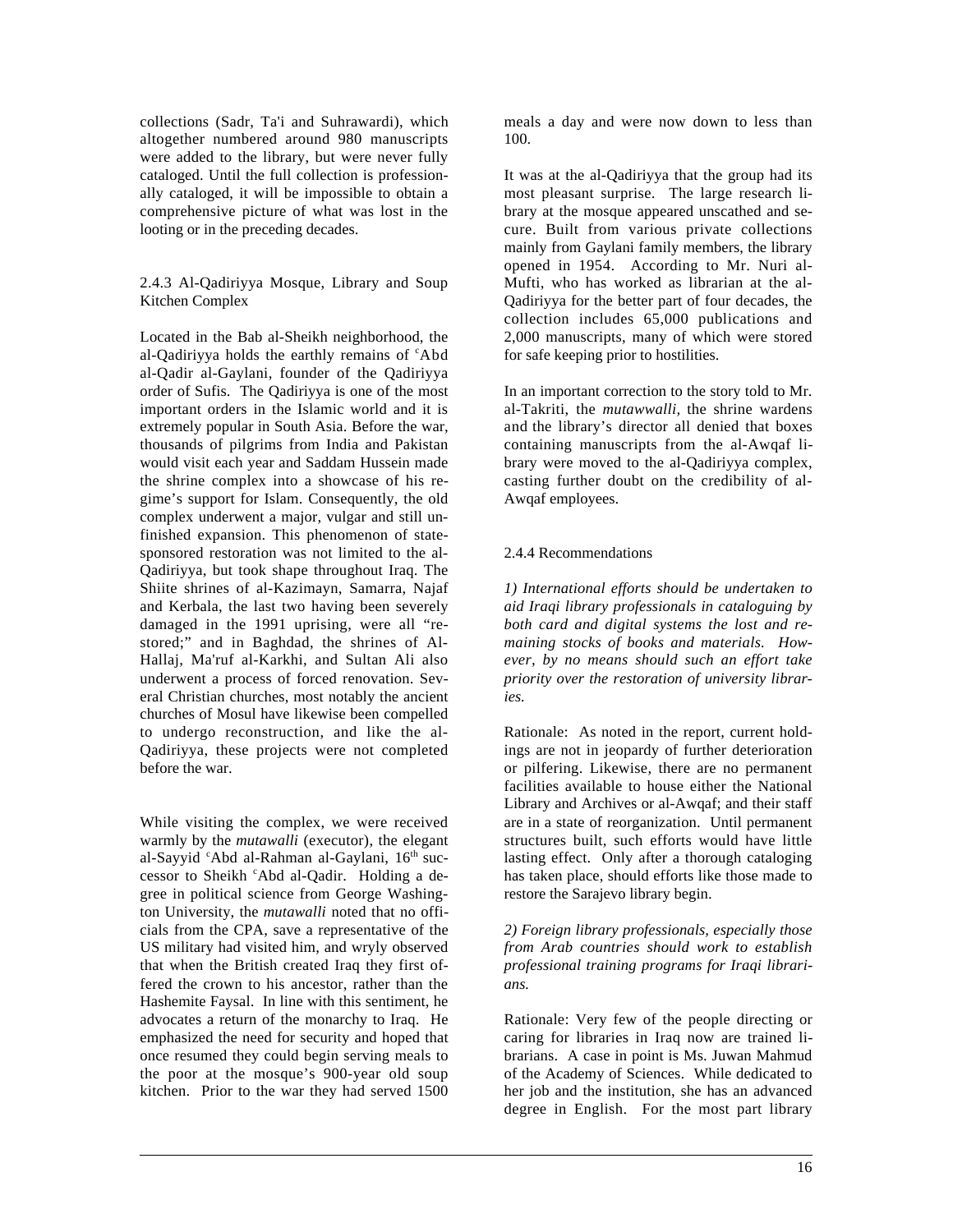collections (Sadr, Ta'i and Suhrawardi), which altogether numbered around 980 manuscripts were added to the library, but were never fully cataloged. Until the full collection is professionally cataloged, it will be impossible to obtain a comprehensive picture of what was lost in the looting or in the preceding decades.

2.4.3 Al-Qadiriyya Mosque, Library and Soup Kitchen Complex

Located in the Bab al-Sheikh neighborhood, the al-Qadiriyya holds the earthly remains of <sup>c</sup>Abd al-Qadir al-Gaylani, founder of the Qadiriyya order of Sufis. The Qadiriyya is one of the most important orders in the Islamic world and it is extremely popular in South Asia. Before the war, thousands of pilgrims from India and Pakistan would visit each year and Saddam Hussein made the shrine complex into a showcase of his regime's support for Islam. Consequently, the old complex underwent a major, vulgar and still unfinished expansion. This phenomenon of statesponsored restoration was not limited to the al-Qadiriyya, but took shape throughout Iraq. The Shiite shrines of al-Kazimayn, Samarra, Najaf and Kerbala, the last two having been severely damaged in the 1991 uprising, were all "restored;" and in Baghdad, the shrines of Al-Hallaj, Ma'ruf al-Karkhi, and Sultan Ali also underwent a process of forced renovation. Several Christian churches, most notably the ancient churches of Mosul have likewise been compelled to undergo reconstruction, and like the al-Qadiriyya, these projects were not completed before the war.

While visiting the complex, we were received warmly by the *mutawalli* (executor), the elegant al-Sayyid 'Abd al-Rahman al-Gaylani, 16th successor to Sheikh 'Abd al-Qadir. Holding a degree in political science from George Washington University, the *mutawalli* noted that no officials from the CPA, save a representative of the US military had visited him, and wryly observed that when the British created Iraq they first offered the crown to his ancestor, rather than the Hashemite Faysal. In line with this sentiment, he advocates a return of the monarchy to Iraq. He emphasized the need for security and hoped that once resumed they could begin serving meals to the poor at the mosque's 900-year old soup kitchen. Prior to the war they had served 1500

 $\overline{a}$ 

meals a day and were now down to less than 100.

It was at the al-Qadiriyya that the group had its most pleasant surprise. The large research library at the mosque appeared unscathed and secure. Built from various private collections mainly from Gaylani family members, the library opened in 1954. According to Mr. Nuri al-Mufti, who has worked as librarian at the al-Qadiriyya for the better part of four decades, the collection includes 65,000 publications and 2,000 manuscripts, many of which were stored for safe keeping prior to hostilities.

In an important correction to the story told to Mr. al-Takriti, the *mutawwalli,* the shrine wardens and the library's director all denied that boxes containing manuscripts from the al-Awqaf library were moved to the al-Qadiriyya complex, casting further doubt on the credibility of al-Awqaf employees.

### 2.4.4 Recommendations

*1) International efforts should be undertaken to aid Iraqi library professionals in cataloguing by both card and digital systems the lost and remaining stocks of books and materials. However, by no means should such an effort take priority over the restoration of university libraries.*

Rationale: As noted in the report, current holdings are not in jeopardy of further deterioration or pilfering. Likewise, there are no permanent facilities available to house either the National Library and Archives or al-Awqaf; and their staff are in a state of reorganization. Until permanent structures built, such efforts would have little lasting effect. Only after a thorough cataloging has taken place, should efforts like those made to restore the Sarajevo library begin.

*2) Foreign library professionals, especially those from Arab countries should work to establish professional training programs for Iraqi librarians.*

Rationale: Very few of the people directing or caring for libraries in Iraq now are trained librarians. A case in point is Ms. Juwan Mahmud of the Academy of Sciences. While dedicated to her job and the institution, she has an advanced degree in English. For the most part library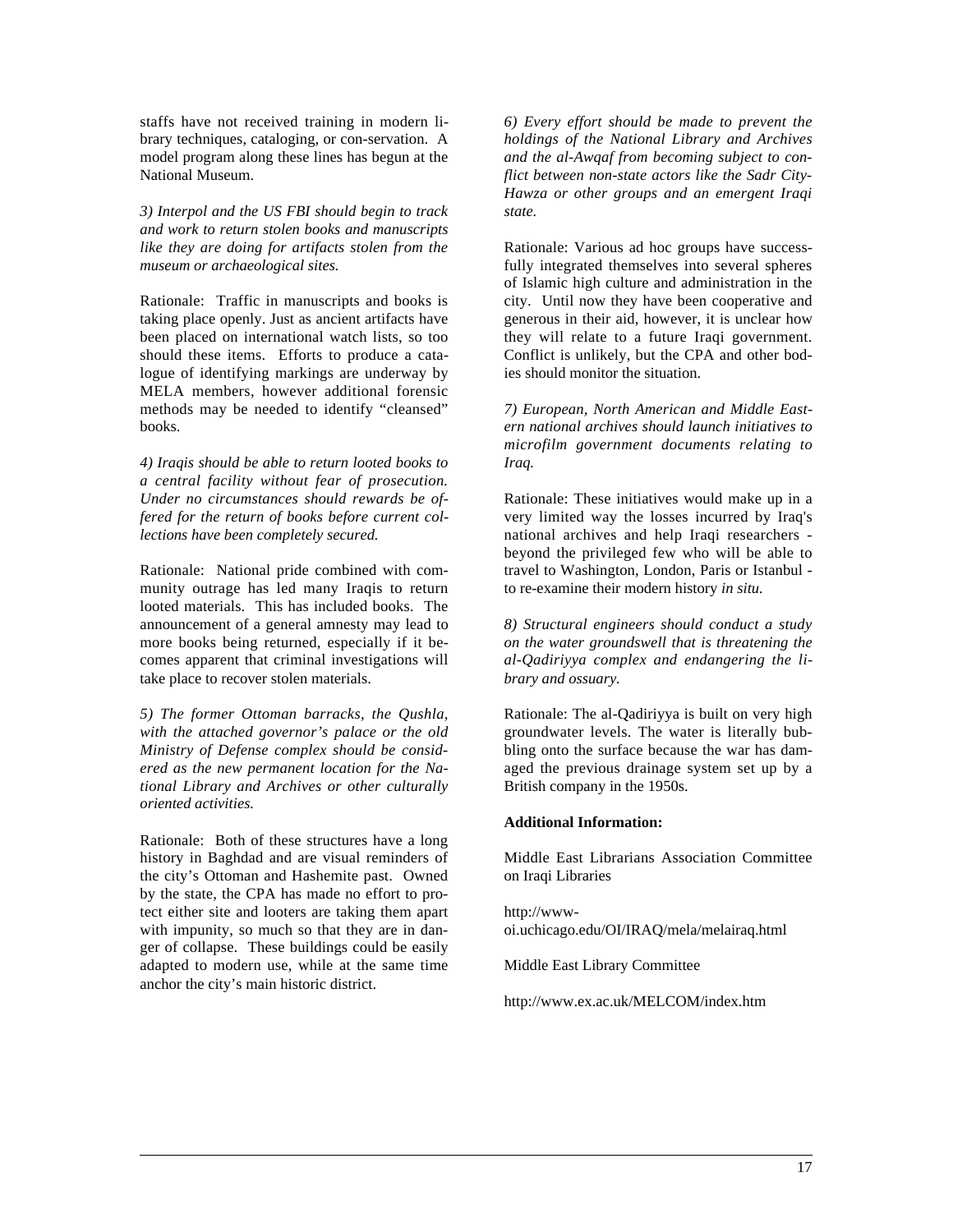staffs have not received training in modern library techniques, cataloging, or con-servation. A model program along these lines has begun at the National Museum.

*3) Interpol and the US FBI should begin to track and work to return stolen books and manuscripts like they are doing for artifacts stolen from the museum or archaeological sites.*

Rationale: Traffic in manuscripts and books is taking place openly. Just as ancient artifacts have been placed on international watch lists, so too should these items. Efforts to produce a catalogue of identifying markings are underway by MELA members, however additional forensic methods may be needed to identify "cleansed" books.

*4) Iraqis should be able to return looted books to a central facility without fear of prosecution. Under no circumstances should rewards be offered for the return of books before current collections have been completely secured.*

Rationale: National pride combined with community outrage has led many Iraqis to return looted materials. This has included books. The announcement of a general amnesty may lead to more books being returned, especially if it becomes apparent that criminal investigations will take place to recover stolen materials.

*5) The former Ottoman barracks, the Qushla, with the attached governor's palace or the old Ministry of Defense complex should be considered as the new permanent location for the National Library and Archives or other culturally oriented activities.*

Rationale: Both of these structures have a long history in Baghdad and are visual reminders of the city's Ottoman and Hashemite past. Owned by the state, the CPA has made no effort to protect either site and looters are taking them apart with impunity, so much so that they are in danger of collapse. These buildings could be easily adapted to modern use, while at the same time anchor the city's main historic district.

 $\overline{a}$ 

*6) Every effort should be made to prevent the holdings of the National Library and Archives and the al-Awqaf from becoming subject to conflict between non-state actors like the Sadr City-Hawza or other groups and an emergent Iraqi state.*

Rationale: Various ad hoc groups have successfully integrated themselves into several spheres of Islamic high culture and administration in the city. Until now they have been cooperative and generous in their aid, however, it is unclear how they will relate to a future Iraqi government. Conflict is unlikely, but the CPA and other bodies should monitor the situation.

*7) European, North American and Middle Eastern national archives should launch initiatives to microfilm government documents relating to Iraq.*

Rationale: These initiatives would make up in a very limited way the losses incurred by Iraq's national archives and help Iraqi researchers beyond the privileged few who will be able to travel to Washington, London, Paris or Istanbul to re-examine their modern history *in situ.*

*8) Structural engineers should conduct a study on the water groundswell that is threatening the al-Qadiriyya complex and endangering the library and ossuary.* 

Rationale: The al-Qadiriyya is built on very high groundwater levels. The water is literally bubbling onto the surface because the war has damaged the previous drainage system set up by a British company in the 1950s.

#### **Additional Information:**

Middle East Librarians Association Committee on Iraqi Libraries

http://wwwoi.uchicago.edu/OI/IRAQ/mela/melairaq.html

Middle East Library Committee

http://www.ex.ac.uk/MELCOM/index.htm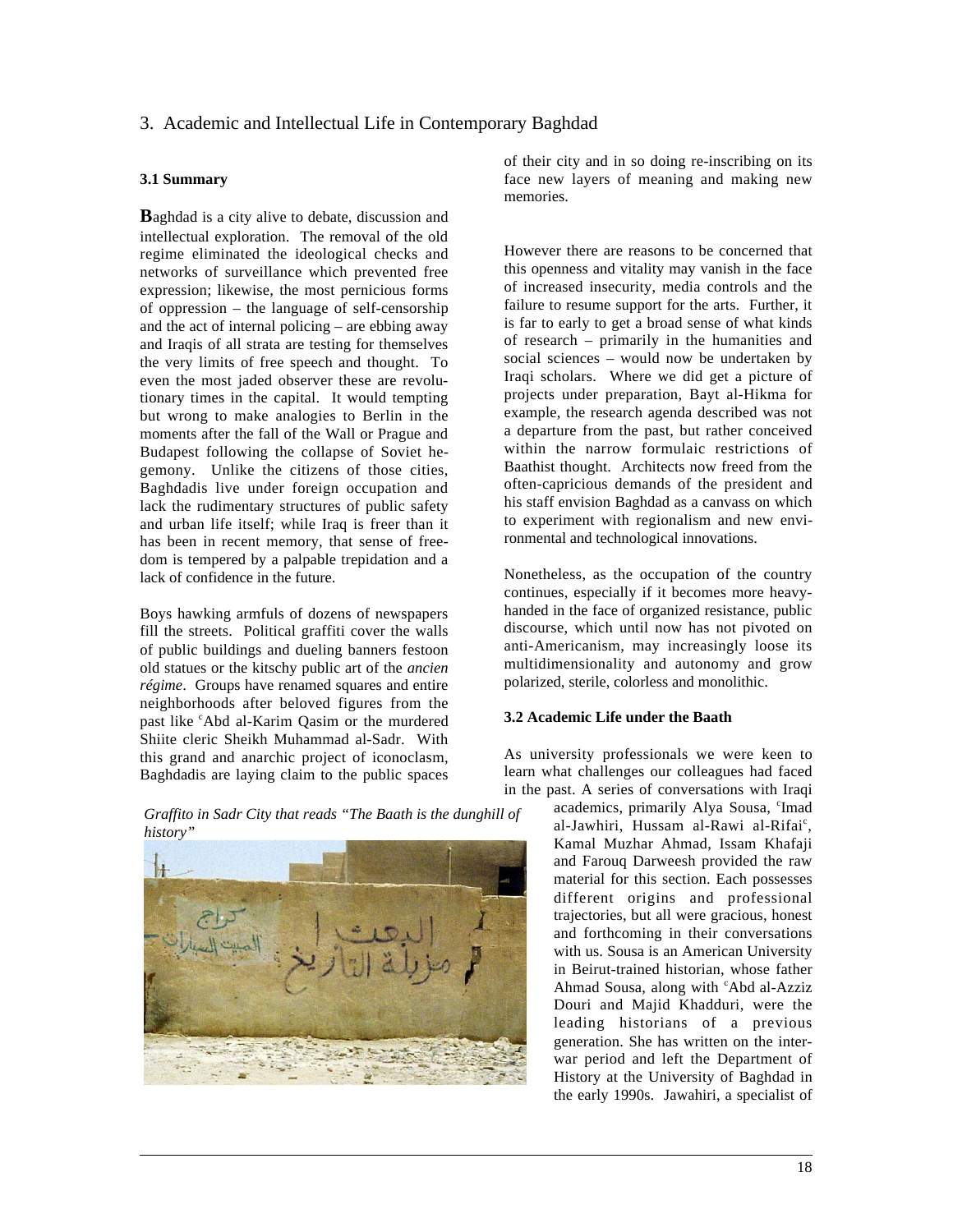## 3. Academic and Intellectual Life in Contemporary Baghdad

### **3.1 Summary**

**B**aghdad is a city alive to debate, discussion and intellectual exploration. The removal of the old regime eliminated the ideological checks and networks of surveillance which prevented free expression; likewise, the most pernicious forms of oppression – the language of self-censorship and the act of internal policing – are ebbing away and Iraqis of all strata are testing for themselves the very limits of free speech and thought. To even the most jaded observer these are revolutionary times in the capital. It would tempting but wrong to make analogies to Berlin in the moments after the fall of the Wall or Prague and Budapest following the collapse of Soviet hegemony. Unlike the citizens of those cities, Baghdadis live under foreign occupation and lack the rudimentary structures of public safety and urban life itself; while Iraq is freer than it has been in recent memory, that sense of freedom is tempered by a palpable trepidation and a lack of confidence in the future.

Boys hawking armfuls of dozens of newspapers fill the streets. Political graffiti cover the walls of public buildings and dueling banners festoon old statues or the kitschy public art of the *ancien régime*. Groups have renamed squares and entire neighborhoods after beloved figures from the past like 'Abd al-Karim Qasim or the murdered Shiite cleric Sheikh Muhammad al-Sadr. With this grand and anarchic project of iconoclasm, Baghdadis are laying claim to the public spaces

 $\overline{a}$ 

of their city and in so doing re-inscribing on its face new layers of meaning and making new memories.

However there are reasons to be concerned that this openness and vitality may vanish in the face of increased insecurity, media controls and the failure to resume support for the arts. Further, it is far to early to get a broad sense of what kinds of research – primarily in the humanities and social sciences – would now be undertaken by Iraqi scholars. Where we did get a picture of projects under preparation, Bayt al-Hikma for example, the research agenda described was not a departure from the past, but rather conceived within the narrow formulaic restrictions of Baathist thought. Architects now freed from the often-capricious demands of the president and his staff envision Baghdad as a canvass on which to experiment with regionalism and new environmental and technological innovations.

Nonetheless, as the occupation of the country continues, especially if it becomes more heavyhanded in the face of organized resistance, public discourse, which until now has not pivoted on anti-Americanism, may increasingly loose its multidimensionality and autonomy and grow polarized, sterile, colorless and monolithic.

### **3.2 Academic Life under the Baath**

As university professionals we were keen to learn what challenges our colleagues had faced in the past. A series of conversations with Iraqi

academics, primarily Alya Sousa, 'Imad al-Jawhiri, Hussam al-Rawi al-Rifai<sup>c</sup>, Kamal Muzhar Ahmad, Issam Khafaji and Farouq Darweesh provided the raw material for this section. Each possesses different origins and professional trajectories, but all were gracious, honest and forthcoming in their conversations with us. Sousa is an American University in Beirut-trained historian, whose father Ahmad Sousa, along with 'Abd al-Azziz Douri and Majid Khadduri, were the leading historians of a previous generation. She has written on the interwar period and left the Department of History at the University of Baghdad in the early 1990s. Jawahiri, a specialist of

*Graffito in Sadr City that reads "The Baath is the dunghill of history"*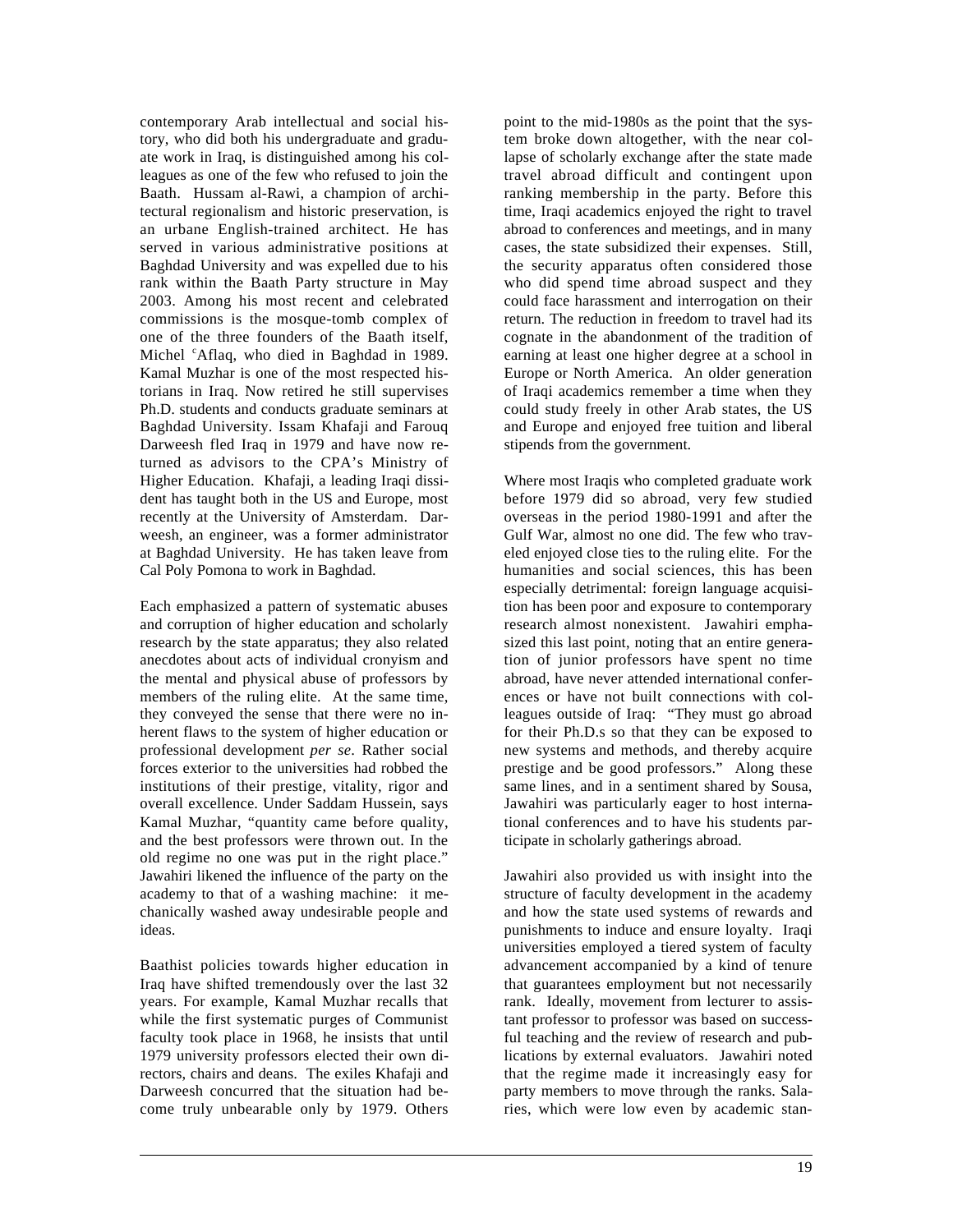contemporary Arab intellectual and social history, who did both his undergraduate and graduate work in Iraq, is distinguished among his colleagues as one of the few who refused to join the Baath. Hussam al-Rawi, a champion of architectural regionalism and historic preservation, is an urbane English-trained architect. He has served in various administrative positions at Baghdad University and was expelled due to his rank within the Baath Party structure in May 2003. Among his most recent and celebrated commissions is the mosque-tomb complex of one of the three founders of the Baath itself, Michel <sup>c</sup>Aflaq, who died in Baghdad in 1989. Kamal Muzhar is one of the most respected historians in Iraq. Now retired he still supervises Ph.D. students and conducts graduate seminars at Baghdad University. Issam Khafaji and Farouq Darweesh fled Iraq in 1979 and have now returned as advisors to the CPA's Ministry of Higher Education. Khafaji, a leading Iraqi dissident has taught both in the US and Europe, most recently at the University of Amsterdam. Darweesh, an engineer, was a former administrator at Baghdad University. He has taken leave from Cal Poly Pomona to work in Baghdad.

Each emphasized a pattern of systematic abuses and corruption of higher education and scholarly research by the state apparatus; they also related anecdotes about acts of individual cronyism and the mental and physical abuse of professors by members of the ruling elite. At the same time, they conveyed the sense that there were no inherent flaws to the system of higher education or professional development *per se*. Rather social forces exterior to the universities had robbed the institutions of their prestige, vitality, rigor and overall excellence. Under Saddam Hussein, says Kamal Muzhar, "quantity came before quality, and the best professors were thrown out. In the old regime no one was put in the right place." Jawahiri likened the influence of the party on the academy to that of a washing machine: it mechanically washed away undesirable people and ideas.

Baathist policies towards higher education in Iraq have shifted tremendously over the last 32 years. For example, Kamal Muzhar recalls that while the first systematic purges of Communist faculty took place in 1968, he insists that until 1979 university professors elected their own directors, chairs and deans. The exiles Khafaji and Darweesh concurred that the situation had become truly unbearable only by 1979. Others

 $\overline{a}$ 

point to the mid-1980s as the point that the system broke down altogether, with the near collapse of scholarly exchange after the state made travel abroad difficult and contingent upon ranking membership in the party. Before this time, Iraqi academics enjoyed the right to travel abroad to conferences and meetings, and in many cases, the state subsidized their expenses. Still, the security apparatus often considered those who did spend time abroad suspect and they could face harassment and interrogation on their return. The reduction in freedom to travel had its cognate in the abandonment of the tradition of earning at least one higher degree at a school in Europe or North America. An older generation of Iraqi academics remember a time when they could study freely in other Arab states, the US and Europe and enjoyed free tuition and liberal stipends from the government.

Where most Iraqis who completed graduate work before 1979 did so abroad, very few studied overseas in the period 1980-1991 and after the Gulf War, almost no one did. The few who traveled enjoyed close ties to the ruling elite. For the humanities and social sciences, this has been especially detrimental: foreign language acquisition has been poor and exposure to contemporary research almost nonexistent. Jawahiri emphasized this last point, noting that an entire generation of junior professors have spent no time abroad, have never attended international conferences or have not built connections with colleagues outside of Iraq: "They must go abroad for their Ph.D.s so that they can be exposed to new systems and methods, and thereby acquire prestige and be good professors." Along these same lines, and in a sentiment shared by Sousa, Jawahiri was particularly eager to host international conferences and to have his students participate in scholarly gatherings abroad.

Jawahiri also provided us with insight into the structure of faculty development in the academy and how the state used systems of rewards and punishments to induce and ensure loyalty. Iraqi universities employed a tiered system of faculty advancement accompanied by a kind of tenure that guarantees employment but not necessarily rank. Ideally, movement from lecturer to assistant professor to professor was based on successful teaching and the review of research and publications by external evaluators. Jawahiri noted that the regime made it increasingly easy for party members to move through the ranks. Salaries, which were low even by academic stan-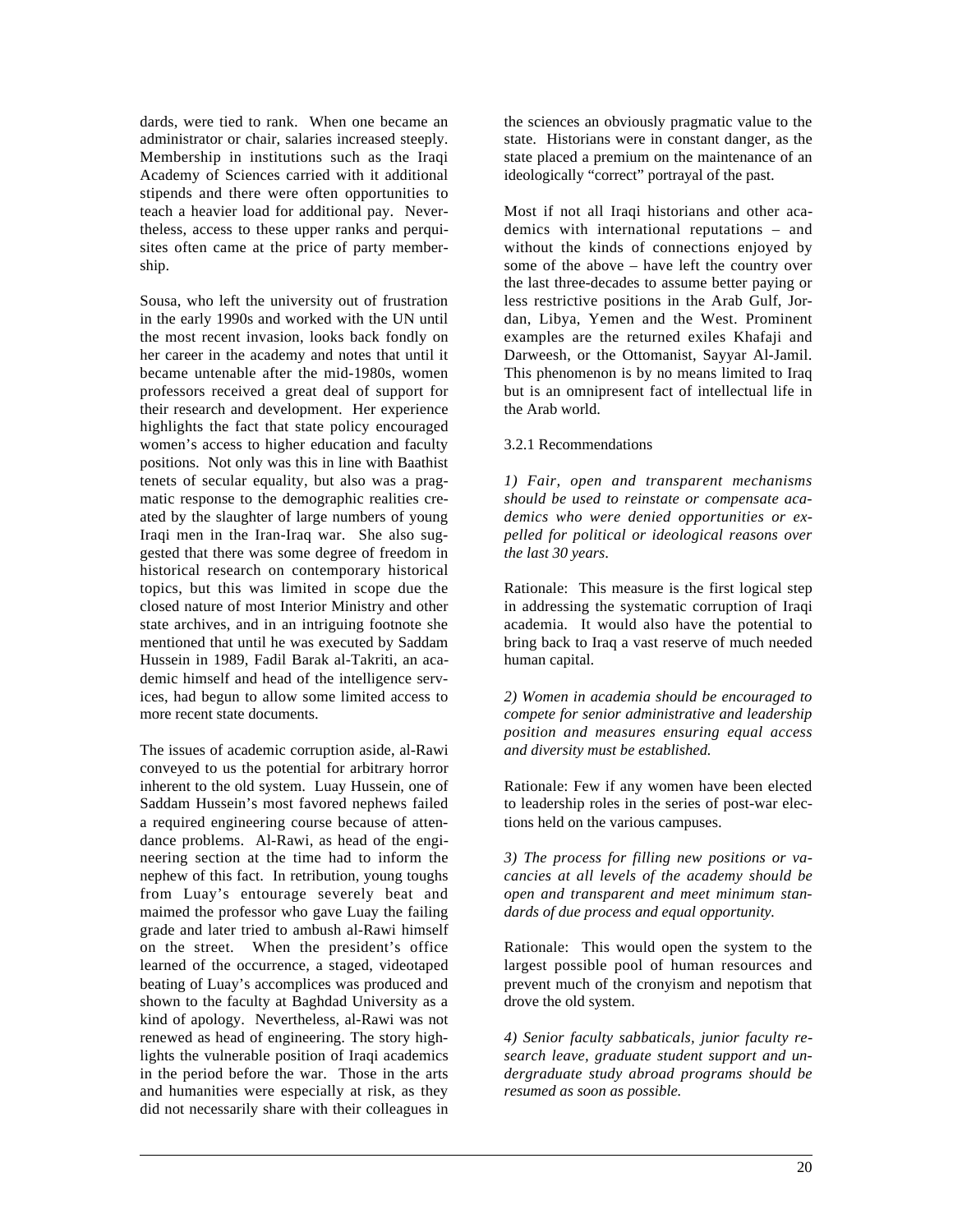dards, were tied to rank. When one became an administrator or chair, salaries increased steeply. Membership in institutions such as the Iraqi Academy of Sciences carried with it additional stipends and there were often opportunities to teach a heavier load for additional pay. Nevertheless, access to these upper ranks and perquisites often came at the price of party membership.

Sousa, who left the university out of frustration in the early 1990s and worked with the UN until the most recent invasion, looks back fondly on her career in the academy and notes that until it became untenable after the mid-1980s, women professors received a great deal of support for their research and development. Her experience highlights the fact that state policy encouraged women's access to higher education and faculty positions. Not only was this in line with Baathist tenets of secular equality, but also was a pragmatic response to the demographic realities created by the slaughter of large numbers of young Iraqi men in the Iran-Iraq war. She also suggested that there was some degree of freedom in historical research on contemporary historical topics, but this was limited in scope due the closed nature of most Interior Ministry and other state archives, and in an intriguing footnote she mentioned that until he was executed by Saddam Hussein in 1989, Fadil Barak al-Takriti, an academic himself and head of the intelligence services, had begun to allow some limited access to more recent state documents.

The issues of academic corruption aside, al-Rawi conveyed to us the potential for arbitrary horror inherent to the old system. Luay Hussein, one of Saddam Hussein's most favored nephews failed a required engineering course because of attendance problems. Al-Rawi, as head of the engineering section at the time had to inform the nephew of this fact. In retribution, young toughs from Luay's entourage severely beat and maimed the professor who gave Luay the failing grade and later tried to ambush al-Rawi himself on the street. When the president's office learned of the occurrence, a staged, videotaped beating of Luay's accomplices was produced and shown to the faculty at Baghdad University as a kind of apology. Nevertheless, al-Rawi was not renewed as head of engineering. The story highlights the vulnerable position of Iraqi academics in the period before the war. Those in the arts and humanities were especially at risk, as they did not necessarily share with their colleagues in

 $\overline{a}$ 

the sciences an obviously pragmatic value to the state. Historians were in constant danger, as the state placed a premium on the maintenance of an ideologically "correct" portrayal of the past.

Most if not all Iraqi historians and other academics with international reputations – and without the kinds of connections enjoyed by some of the above – have left the country over the last three-decades to assume better paying or less restrictive positions in the Arab Gulf, Jordan, Libya, Yemen and the West. Prominent examples are the returned exiles Khafaji and Darweesh, or the Ottomanist, Sayyar Al-Jamil. This phenomenon is by no means limited to Iraq but is an omnipresent fact of intellectual life in the Arab world.

### 3.2.1 Recommendations

*1) Fair, open and transparent mechanisms should be used to reinstate or compensate academics who were denied opportunities or expelled for political or ideological reasons over the last 30 years*.

Rationale: This measure is the first logical step in addressing the systematic corruption of Iraqi academia. It would also have the potential to bring back to Iraq a vast reserve of much needed human capital.

*2) Women in academia should be encouraged to compete for senior administrative and leadership position and measures ensuring equal access and diversity must be established.*

Rationale: Few if any women have been elected to leadership roles in the series of post-war elections held on the various campuses.

*3) The process for filling new positions or vacancies at all levels of the academy should be open and transparent and meet minimum standards of due process and equal opportunity.*

Rationale: This would open the system to the largest possible pool of human resources and prevent much of the cronyism and nepotism that drove the old system.

*4) Senior faculty sabbaticals, junior faculty research leave, graduate student support and undergraduate study abroad programs should be resumed as soon as possible.*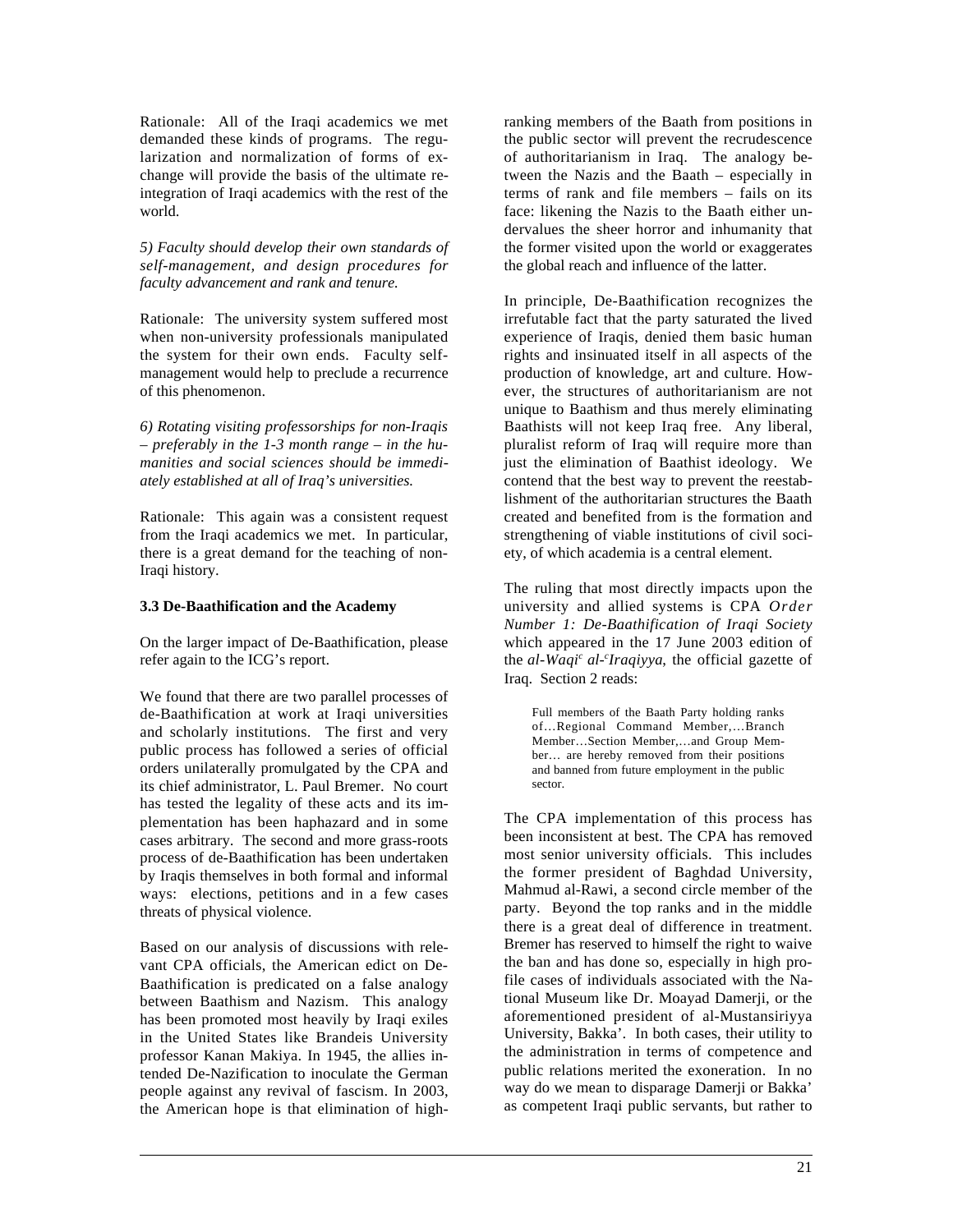Rationale: All of the Iraqi academics we met demanded these kinds of programs. The regularization and normalization of forms of exchange will provide the basis of the ultimate reintegration of Iraqi academics with the rest of the world.

*5) Faculty should develop their own standards of self-management, and design procedures for faculty advancement and rank and tenure.*

Rationale: The university system suffered most when non-university professionals manipulated the system for their own ends. Faculty selfmanagement would help to preclude a recurrence of this phenomenon.

*6) Rotating visiting professorships for non-Iraqis – preferably in the 1-3 month range – in the humanities and social sciences should be immediately established at all of Iraq's universities.*

Rationale: This again was a consistent request from the Iraqi academics we met. In particular, there is a great demand for the teaching of non-Iraqi history.

### **3.3 De-Baathification and the Academy**

On the larger impact of De-Baathification, please refer again to the ICG's report.

We found that there are two parallel processes of de-Baathification at work at Iraqi universities and scholarly institutions. The first and very public process has followed a series of official orders unilaterally promulgated by the CPA and its chief administrator, L. Paul Bremer. No court has tested the legality of these acts and its implementation has been haphazard and in some cases arbitrary. The second and more grass-roots process of de-Baathification has been undertaken by Iraqis themselves in both formal and informal ways: elections, petitions and in a few cases threats of physical violence.

Based on our analysis of discussions with relevant CPA officials, the American edict on De-Baathification is predicated on a false analogy between Baathism and Nazism. This analogy has been promoted most heavily by Iraqi exiles in the United States like Brandeis University professor Kanan Makiya. In 1945, the allies intended De-Nazification to inoculate the German people against any revival of fascism. In 2003, the American hope is that elimination of high-

 $\overline{a}$ 

ranking members of the Baath from positions in the public sector will prevent the recrudescence of authoritarianism in Iraq. The analogy between the Nazis and the Baath – especially in terms of rank and file members – fails on its face: likening the Nazis to the Baath either undervalues the sheer horror and inhumanity that the former visited upon the world or exaggerates the global reach and influence of the latter.

In principle, De-Baathification recognizes the irrefutable fact that the party saturated the lived experience of Iraqis, denied them basic human rights and insinuated itself in all aspects of the production of knowledge, art and culture. However, the structures of authoritarianism are not unique to Baathism and thus merely eliminating Baathists will not keep Iraq free. Any liberal, pluralist reform of Iraq will require more than just the elimination of Baathist ideology. We contend that the best way to prevent the reestablishment of the authoritarian structures the Baath created and benefited from is the formation and strengthening of viable institutions of civil society, of which academia is a central element.

The ruling that most directly impacts upon the university and allied systems is CPA *Order Number 1: De-Baathification of Iraqi Society* which appeared in the 17 June 2003 edition of the *al-Waqi<sup>c</sup> al-<sup>c</sup> Iraqiyya*, the official gazette of Iraq. Section 2 reads:

Full members of the Baath Party holding ranks of…Regional Command Member,…Branch Member…Section Member,…and Group Member… are hereby removed from their positions and banned from future employment in the public sector.

The CPA implementation of this process has been inconsistent at best. The CPA has removed most senior university officials. This includes the former president of Baghdad University, Mahmud al-Rawi, a second circle member of the party. Beyond the top ranks and in the middle there is a great deal of difference in treatment. Bremer has reserved to himself the right to waive the ban and has done so, especially in high profile cases of individuals associated with the National Museum like Dr. Moavad Damerii, or the aforementioned president of al-Mustansiriyya University, Bakka'. In both cases, their utility to the administration in terms of competence and public relations merited the exoneration. In no way do we mean to disparage Damerji or Bakka' as competent Iraqi public servants, but rather to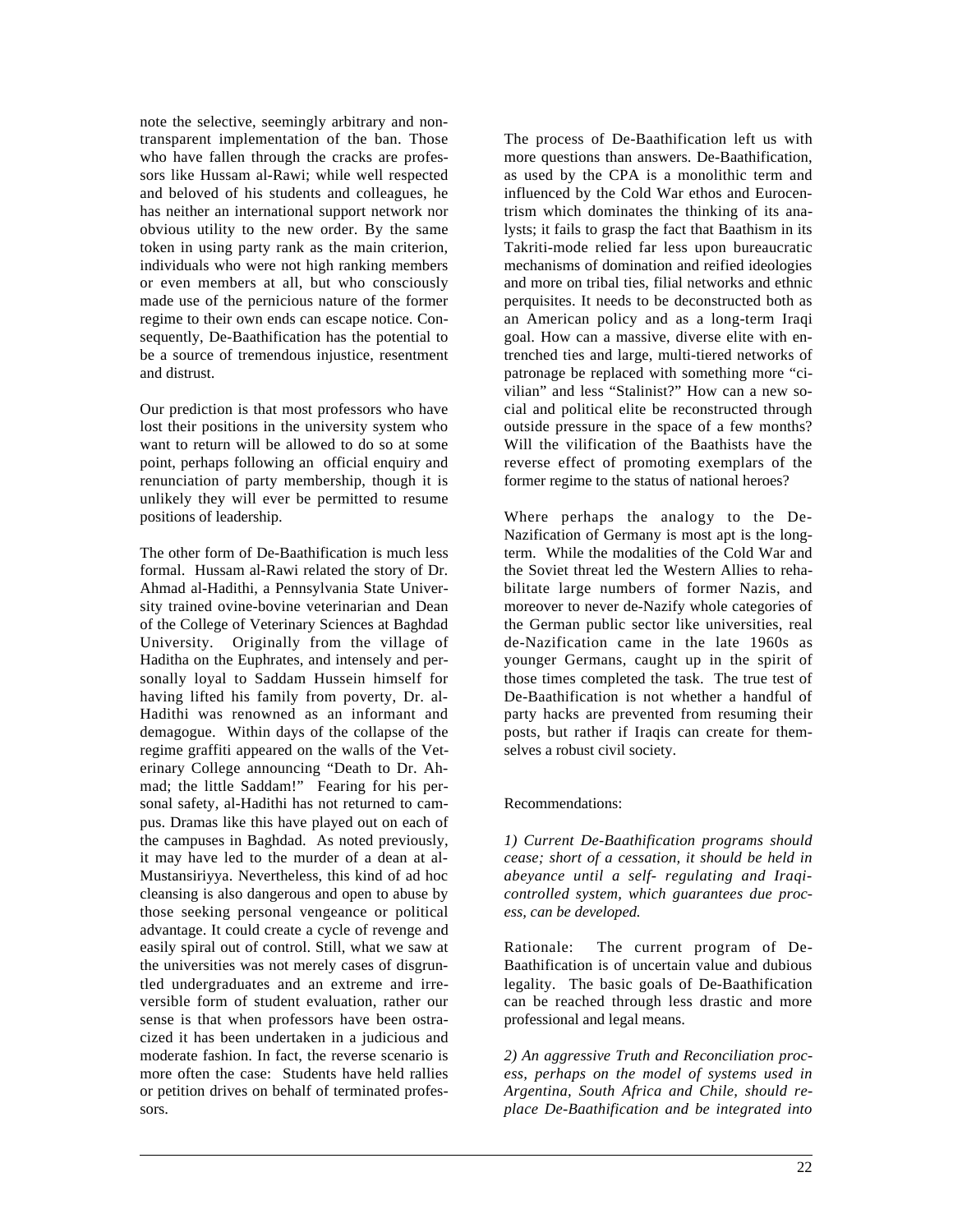note the selective, seemingly arbitrary and nontransparent implementation of the ban. Those who have fallen through the cracks are professors like Hussam al-Rawi; while well respected and beloved of his students and colleagues, he has neither an international support network nor obvious utility to the new order. By the same token in using party rank as the main criterion, individuals who were not high ranking members or even members at all, but who consciously made use of the pernicious nature of the former regime to their own ends can escape notice. Consequently, De-Baathification has the potential to be a source of tremendous injustice, resentment and distrust.

Our prediction is that most professors who have lost their positions in the university system who want to return will be allowed to do so at some point, perhaps following an official enquiry and renunciation of party membership, though it is unlikely they will ever be permitted to resume positions of leadership.

The other form of De-Baathification is much less formal. Hussam al-Rawi related the story of Dr. Ahmad al-Hadithi, a Pennsylvania State University trained ovine-bovine veterinarian and Dean of the College of Veterinary Sciences at Baghdad University. Originally from the village of Haditha on the Euphrates, and intensely and personally loyal to Saddam Hussein himself for having lifted his family from poverty, Dr. al-Hadithi was renowned as an informant and demagogue. Within days of the collapse of the regime graffiti appeared on the walls of the Veterinary College announcing "Death to Dr. Ahmad; the little Saddam!" Fearing for his personal safety, al-Hadithi has not returned to campus. Dramas like this have played out on each of the campuses in Baghdad. As noted previously, it may have led to the murder of a dean at al-Mustansiriyya. Nevertheless, this kind of ad hoc cleansing is also dangerous and open to abuse by those seeking personal vengeance or political advantage. It could create a cycle of revenge and easily spiral out of control. Still, what we saw at the universities was not merely cases of disgruntled undergraduates and an extreme and irreversible form of student evaluation, rather our sense is that when professors have been ostracized it has been undertaken in a judicious and moderate fashion. In fact, the reverse scenario is more often the case: Students have held rallies or petition drives on behalf of terminated professors.

 $\overline{a}$ 

The process of De-Baathification left us with more questions than answers. De-Baathification, as used by the CPA is a monolithic term and influenced by the Cold War ethos and Eurocentrism which dominates the thinking of its analysts; it fails to grasp the fact that Baathism in its Takriti-mode relied far less upon bureaucratic mechanisms of domination and reified ideologies and more on tribal ties, filial networks and ethnic perquisites. It needs to be deconstructed both as an American policy and as a long-term Iraqi goal. How can a massive, diverse elite with entrenched ties and large, multi-tiered networks of patronage be replaced with something more "civilian" and less "Stalinist?" How can a new social and political elite be reconstructed through outside pressure in the space of a few months? Will the vilification of the Baathists have the reverse effect of promoting exemplars of the former regime to the status of national heroes?

Where perhaps the analogy to the De-Nazification of Germany is most apt is the longterm. While the modalities of the Cold War and the Soviet threat led the Western Allies to rehabilitate large numbers of former Nazis, and moreover to never de-Nazify whole categories of the German public sector like universities, real de-Nazification came in the late 1960s as younger Germans, caught up in the spirit of those times completed the task. The true test of De-Baathification is not whether a handful of party hacks are prevented from resuming their posts, but rather if Iraqis can create for themselves a robust civil society.

### Recommendations:

*1) Current De-Baathification programs should cease; short of a cessation, it should be held in abeyance until a self- regulating and Iraqicontrolled system, which guarantees due process, can be developed.*

Rationale: The current program of De-Baathification is of uncertain value and dubious legality. The basic goals of De-Baathification can be reached through less drastic and more professional and legal means.

*2) An aggressive Truth and Reconciliation process, perhaps on the model of systems used in Argentina, South Africa and Chile, should replace De-Baathification and be integrated into*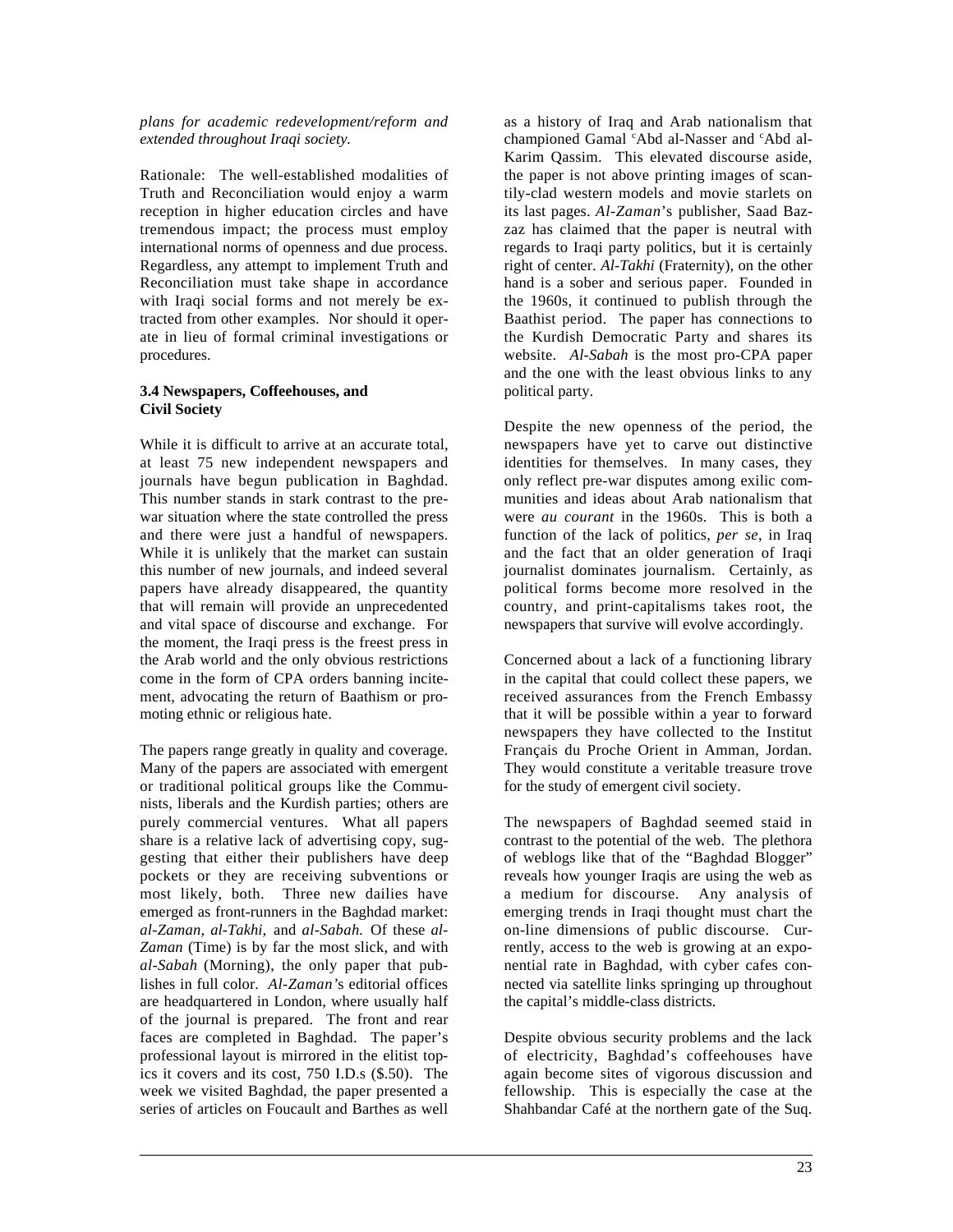#### *plans for academic redevelopment/reform and*  $extended throughout Ir.$

Rationale: The well-established modalities of Truth and Reconciliation would enjoy a warm reception in higher education circles and have tremendous impact; the process must employ international norms of openness and due process. Regardless, any attempt to implement Truth and Reconciliation must take shape in accordance with Iraqi social forms and not merely be extracted from other examples. Nor should it operate in lieu of formal criminal investigations or procedures.

### **3.4 Newspapers, Coffeehouses, and Civil Society**

While it is difficult to arrive at an accurate total, at least 75 new independent newspapers and journals have begun publication in Baghdad. This number stands in stark contrast to the prewar situation where the state controlled the press and there were just a handful of newspapers. While it is unlikely that the market can sustain this number of new journals, and indeed several papers have already disappeared, the quantity that will remain will provide an unprecedented and vital space of discourse and exchange. For the moment, the Iraqi press is the freest press in the Arab world and the only obvious restrictions come in the form of CPA orders banning incitement, advocating the return of Baathism or promoting ethnic or religious hate.

The papers range greatly in quality and coverage. Many of the papers are associated with emergent or traditional political groups like the Communists, liberals and the Kurdish parties; others are purely commercial ventures. What all papers share is a relative lack of advertising copy, suggesting that either their publishers have deep pockets or they are receiving subventions or most likely, both. Three new dailies have emerged as front-runners in the Baghdad market: *al-Zaman, al-Takhi,* and *al-Sabah.* Of these *al-Zaman* (Time) is by far the most slick, and with *al-Sabah* (Morning), the only paper that publishes in full color. *Al-Zaman'*s editorial offices are headquartered in London, where usually half of the journal is prepared. The front and rear faces are completed in Baghdad. The paper's professional layout is mirrored in the elitist topics it covers and its cost, 750 I.D.s (\$.50). The week we visited Baghdad, the paper presented a series of articles on Foucault and Barthes as well

 $\overline{a}$ 

as a history of Iraq and Arab nationalism that championed Gamal 'Abd al-Nasser and 'Abd al-Karim Qassim. This elevated discourse aside, the paper is not above printing images of scantily-clad western models and movie starlets on its last pages. *Al-Zaman*'s publisher, Saad Bazzaz has claimed that the paper is neutral with regards to Iraqi party politics, but it is certainly right of center. *Al-Takhi* (Fraternity), on the other hand is a sober and serious paper. Founded in the 1960s, it continued to publish through the Baathist period. The paper has connections to the Kurdish Democratic Party and shares its website. *Al-Sabah* is the most pro-CPA paper and the one with the least obvious links to any political party.

Despite the new openness of the period, the newspapers have yet to carve out distinctive identities for themselves. In many cases, they only reflect pre-war disputes among exilic communities and ideas about Arab nationalism that were *au courant* in the 1960s. This is both a function of the lack of politics, *per se*, in Iraq and the fact that an older generation of Iraqi journalist dominates journalism. Certainly, as political forms become more resolved in the country, and print-capitalisms takes root, the newspapers that survive will evolve accordingly.

Concerned about a lack of a functioning library in the capital that could collect these papers, we received assurances from the French Embassy that it will be possible within a year to forward newspapers they have collected to the Institut Français du Proche Orient in Amman, Jordan. They would constitute a veritable treasure trove for the study of emergent civil society.

The newspapers of Baghdad seemed staid in contrast to the potential of the web. The plethora of weblogs like that of the "Baghdad Blogger" reveals how younger Iraqis are using the web as a medium for discourse. Any analysis of emerging trends in Iraqi thought must chart the on-line dimensions of public discourse. Currently, access to the web is growing at an exponential rate in Baghdad, with cyber cafes connected via satellite links springing up throughout the capital's middle-class districts.

Despite obvious security problems and the lack of electricity, Baghdad's coffeehouses have again become sites of vigorous discussion and fellowship. This is especially the case at the Shahbandar Café at the northern gate of the Suq.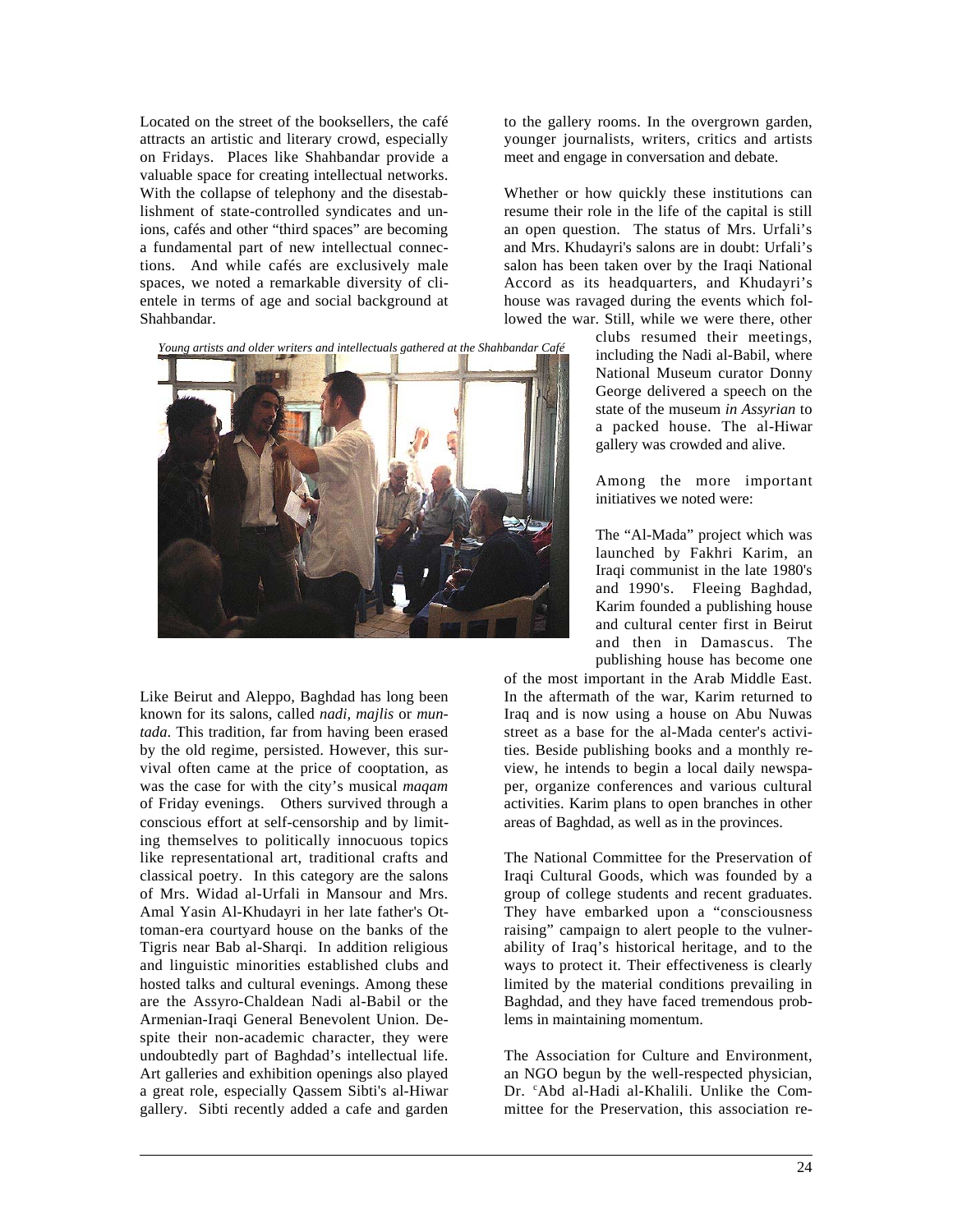Located on the street of the booksellers, the café attracts an artistic and literary crowd, especially on Fridays. Places like Shahbandar provide a valuable space for creating intellectual networks. With the collapse of telephony and the disestablishment of state-controlled syndicates and unions, cafés and other "third spaces" are becoming a fundamental part of new intellectual connections. And while cafés are exclusively male spaces, we noted a remarkable diversity of clientele in terms of age and social background at Shahbandar.





Like Beirut and Aleppo, Baghdad has long been known for its salons, called *nadi, majlis* or *muntada*. This tradition, far from having been erased by the old regime, persisted. However, this survival often came at the price of cooptation, as was the case for with the city's musical *maqam* of Friday evenings. Others survived through a conscious effort at self-censorship and by limiting themselves to politically innocuous topics like representational art, traditional crafts and classical poetry. In this category are the salons of Mrs. Widad al-Urfali in Mansour and Mrs. Amal Yasin Al-Khudayri in her late father's Ottoman-era courtyard house on the banks of the Tigris near Bab al-Sharqi. In addition religious and linguistic minorities established clubs and hosted talks and cultural evenings. Among these are the Assyro-Chaldean Nadi al-Babil or the Armenian-Iraqi General Benevolent Union. Despite their non-academic character, they were undoubtedly part of Baghdad's intellectual life. Art galleries and exhibition openings also played a great role, especially Qassem Sibti's al-Hiwar gallery. Sibti recently added a cafe and garden

 $\overline{a}$ 

to the gallery rooms. In the overgrown garden, younger journalists, writers, critics and artists meet and engage in conversation and debate.

Whether or how quickly these institutions can resume their role in the life of the capital is still an open question. The status of Mrs. Urfali's and Mrs. Khudayri's salons are in doubt: Urfali's salon has been taken over by the Iraqi National Accord as its headquarters, and Khudayri's house was ravaged during the events which followed the war. Still, while we were there, other

> clubs resumed their meetings, including the Nadi al-Babil, where National Museum curator Donny George delivered a speech on the state of the museum *in Assyrian* to a packed house. The al-Hiwar gallery was crowded and alive.

> Among the more important initiatives we noted were:

> The "Al-Mada" project which was launched by Fakhri Karim, an Iraqi communist in the late 1980's and 1990's. Fleeing Baghdad, Karim founded a publishing house and cultural center first in Beirut and then in Damascus. The publishing house has become one

of the most important in the Arab Middle East. In the aftermath of the war, Karim returned to Iraq and is now using a house on Abu Nuwas street as a base for the al-Mada center's activities. Beside publishing books and a monthly review, he intends to begin a local daily newspaper, organize conferences and various cultural activities. Karim plans to open branches in other areas of Baghdad, as well as in the provinces.

The National Committee for the Preservation of Iraqi Cultural Goods, which was founded by a group of college students and recent graduates. They have embarked upon a "consciousness raising" campaign to alert people to the vulnerability of Iraq's historical heritage, and to the ways to protect it. Their effectiveness is clearly limited by the material conditions prevailing in Baghdad, and they have faced tremendous problems in maintaining momentum.

The Association for Culture and Environment, an NGO begun by the well-respected physician, Dr. <sup>c</sup>Abd al-Hadi al-Khalili. Unlike the Committee for the Preservation, this association re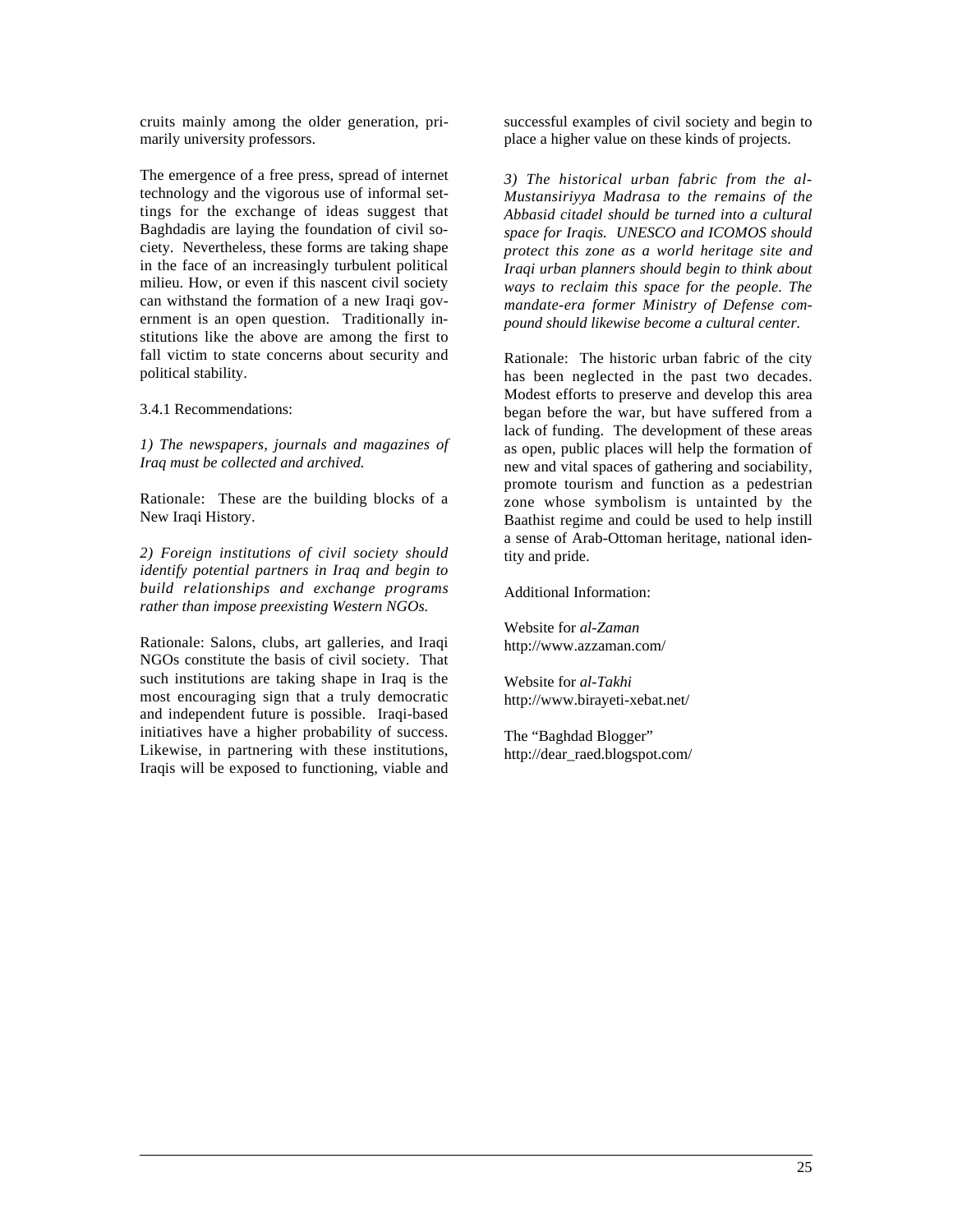cruits mainly among the older generation, primarily university professors.

The emergence of a free press, spread of internet technology and the vigorous use of informal settings for the exchange of ideas suggest that Baghdadis are laying the foundation of civil society. Nevertheless, these forms are taking shape in the face of an increasingly turbulent political milieu. How, or even if this nascent civil society can withstand the formation of a new Iraqi government is an open question. Traditionally institutions like the above are among the first to fall victim to state concerns about security and political stability.

3.4.1 Recommendations:

 $\overline{a}$ 

*1) The newspapers, journals and magazines of Iraq must be collected and archived.*

Rationale: These are the building blocks of a New Iraqi History.

*2) Foreign institutions of civil society should identify potential partners in Iraq and begin to build relationships and exchange programs rather than impose preexisting Western NGOs.*

Rationale: Salons, clubs, art galleries, and Iraqi NGOs constitute the basis of civil society. That such institutions are taking shape in Iraq is the most encouraging sign that a truly democratic and independent future is possible. Iraqi-based initiatives have a higher probability of success. Likewise, in partnering with these institutions, Iraqis will be exposed to functioning, viable and

successful examples of civil society and begin to place a higher value on these kinds of projects.

*3) The historical urban fabric from the al-Mustansiriyya Madrasa to the remains of the Abbasid citadel should be turned into a cultural space for Iraqis. UNESCO and ICOMOS should protect this zone as a world heritage site and Iraqi urban planners should begin to think about ways to reclaim this space for the people. The mandate-era former Ministry of Defense compound should likewise become a cultural center.*

Rationale: The historic urban fabric of the city has been neglected in the past two decades. Modest efforts to preserve and develop this area began before the war, but have suffered from a lack of funding. The development of these areas as open, public places will help the formation of new and vital spaces of gathering and sociability, promote tourism and function as a pedestrian zone whose symbolism is untainted by the Baathist regime and could be used to help instill a sense of Arab-Ottoman heritage, national identity and pride.

Additional Information:

Website for *al-Zaman* http://www.azzaman.com/

Website for *al-Takhi* http://www.birayeti-xebat.net/

The "Baghdad Blogger" http://dear\_raed.blogspot.com/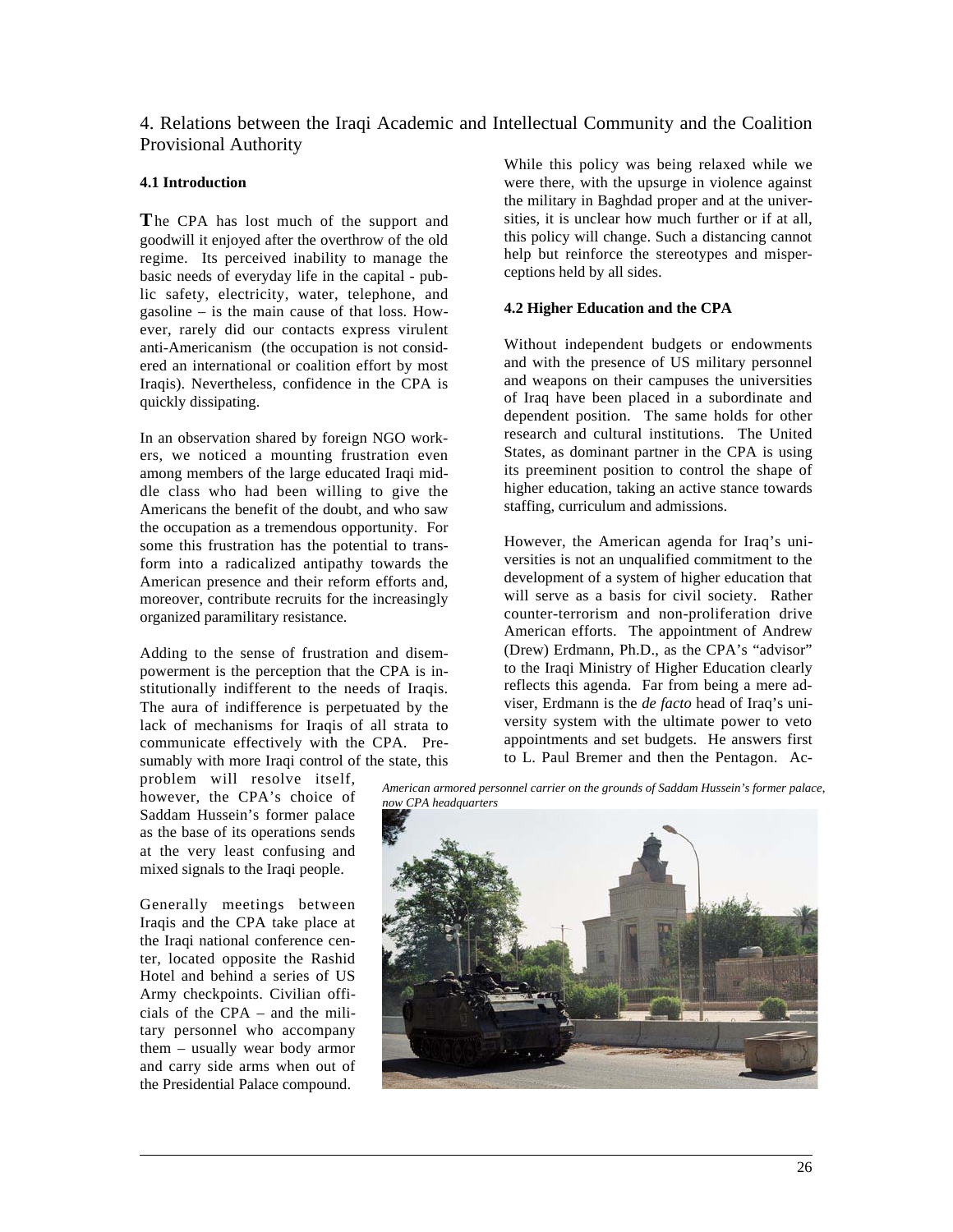# 4. Relations between the Iraqi Academic and Intellectual Community and the Coalition Provisional Authority

### **4.1 Introduction**

**T**he CPA has lost much of the support and goodwill it enjoyed after the overthrow of the old regime. Its perceived inability to manage the basic needs of everyday life in the capital - public safety, electricity, water, telephone, and gasoline – is the main cause of that loss. However, rarely did our contacts express virulent anti-Americanism (the occupation is not considered an international or coalition effort by most Iraqis). Nevertheless, confidence in the CPA is quickly dissipating.

In an observation shared by foreign NGO workers, we noticed a mounting frustration even among members of the large educated Iraqi middle class who had been willing to give the Americans the benefit of the doubt, and who saw the occupation as a tremendous opportunity. For some this frustration has the potential to transform into a radicalized antipathy towards the American presence and their reform efforts and, moreover, contribute recruits for the increasingly organized paramilitary resistance.

Adding to the sense of frustration and disempowerment is the perception that the CPA is institutionally indifferent to the needs of Iraqis. The aura of indifference is perpetuated by the lack of mechanisms for Iraqis of all strata to communicate effectively with the CPA. Presumably with more Iraqi control of the state, this

problem will resolve itself, however, the CPA's choice of Saddam Hussein's former palace as the base of its operations sends at the very least confusing and mixed signals to the Iraqi people.

Generally meetings between Iraqis and the CPA take place at the Iraqi national conference center, located opposite the Rashid Hotel and behind a series of US Army checkpoints. Civilian officials of the CPA – and the military personnel who accompany them – usually wear body armor and carry side arms when out of the Presidential Palace compound.

 $\overline{a}$ 

While this policy was being relaxed while we were there, with the upsurge in violence against the military in Baghdad proper and at the universities, it is unclear how much further or if at all, this policy will change. Such a distancing cannot help but reinforce the stereotypes and misperceptions held by all sides.

### **4.2 Higher Education and the CPA**

Without independent budgets or endowments and with the presence of US military personnel and weapons on their campuses the universities of Iraq have been placed in a subordinate and dependent position. The same holds for other research and cultural institutions. The United States, as dominant partner in the CPA is using its preeminent position to control the shape of higher education, taking an active stance towards staffing, curriculum and admissions.

However, the American agenda for Iraq's universities is not an unqualified commitment to the development of a system of higher education that will serve as a basis for civil society. Rather counter-terrorism and non-proliferation drive American efforts. The appointment of Andrew (Drew) Erdmann, Ph.D., as the CPA's "advisor" to the Iraqi Ministry of Higher Education clearly reflects this agenda. Far from being a mere adviser, Erdmann is the *de facto* head of Iraq's university system with the ultimate power to veto appointments and set budgets. He answers first to L. Paul Bremer and then the Pentagon. Ac-

*American armored personnel carrier on the grounds of Saddam Hussein's former palace, now CPA headquarters*

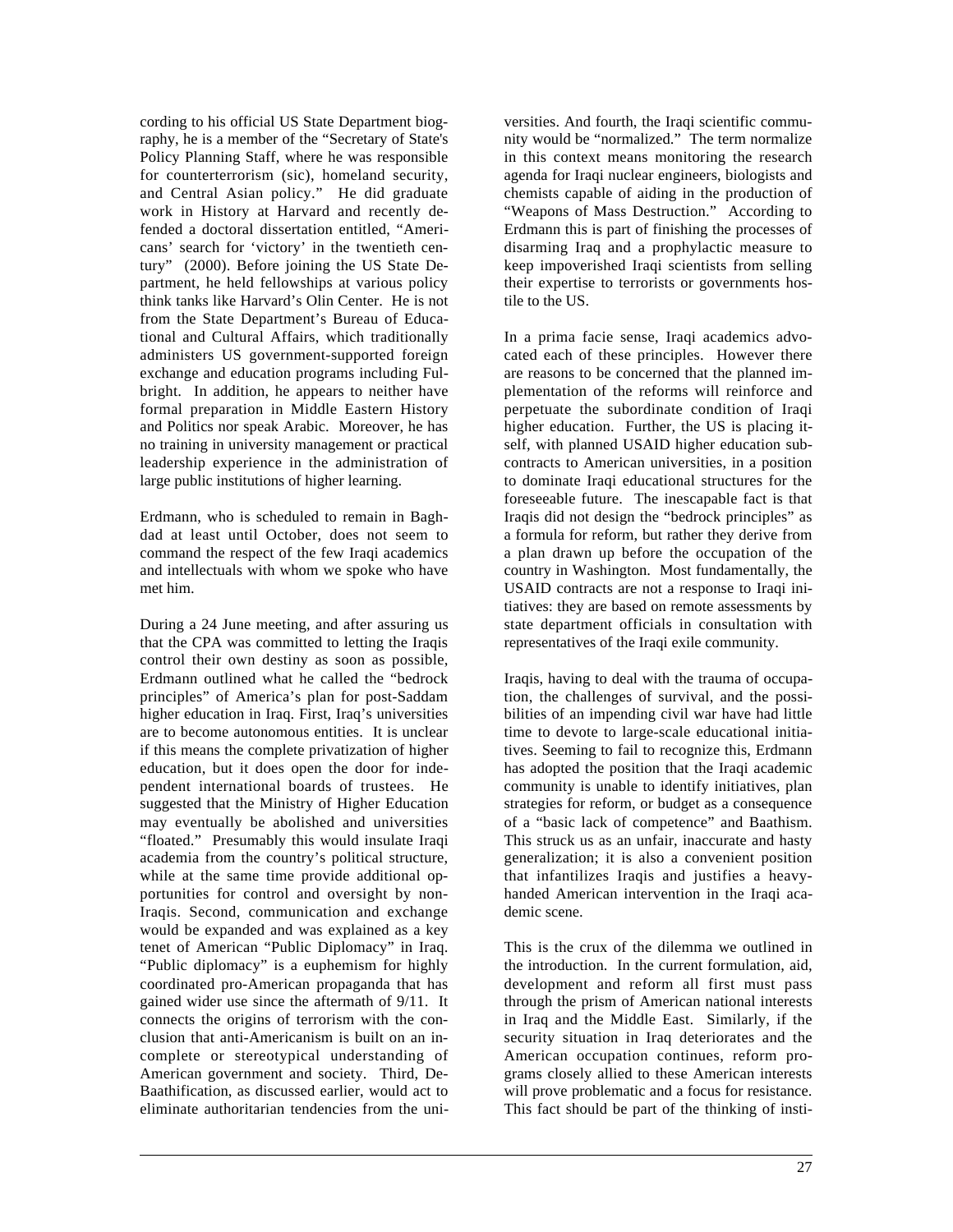cording to his official US State Department biography, he is a member of the "Secretary of State's Policy Planning Staff, where he was responsible for counterterrorism (sic), homeland security, and Central Asian policy." He did graduate work in History at Harvard and recently defended a doctoral dissertation entitled, "Americans' search for 'victory' in the twentieth century" (2000). Before joining the US State Department, he held fellowships at various policy think tanks like Harvard's Olin Center. He is not from the State Department's Bureau of Educational and Cultural Affairs, which traditionally administers US government-supported foreign exchange and education programs including Fulbright. In addition, he appears to neither have formal preparation in Middle Eastern History and Politics nor speak Arabic. Moreover, he has no training in university management or practical leadership experience in the administration of large public institutions of higher learning.

Erdmann, who is scheduled to remain in Baghdad at least until October, does not seem to command the respect of the few Iraqi academics and intellectuals with whom we spoke who have met him.

During a 24 June meeting, and after assuring us that the CPA was committed to letting the Iraqis control their own destiny as soon as possible, Erdmann outlined what he called the "bedrock principles" of America's plan for post-Saddam higher education in Iraq. First, Iraq's universities are to become autonomous entities. It is unclear if this means the complete privatization of higher education, but it does open the door for independent international boards of trustees. He suggested that the Ministry of Higher Education may eventually be abolished and universities "floated." Presumably this would insulate Iraqi academia from the country's political structure, while at the same time provide additional opportunities for control and oversight by non-Iraqis. Second, communication and exchange would be expanded and was explained as a key tenet of American "Public Diplomacy" in Iraq. "Public diplomacy" is a euphemism for highly coordinated pro-American propaganda that has gained wider use since the aftermath of 9/11. It connects the origins of terrorism with the conclusion that anti-Americanism is built on an incomplete or stereotypical understanding of American government and society. Third, De-Baathification, as discussed earlier, would act to eliminate authoritarian tendencies from the uni-

 $\overline{a}$ 

versities. And fourth, the Iraqi scientific community would be "normalized." The term normalize in this context means monitoring the research agenda for Iraqi nuclear engineers, biologists and chemists capable of aiding in the production of "Weapons of Mass Destruction." According to Erdmann this is part of finishing the processes of disarming Iraq and a prophylactic measure to keep impoverished Iraqi scientists from selling their expertise to terrorists or governments hostile to the US.

In a prima facie sense, Iraqi academics advocated each of these principles. However there are reasons to be concerned that the planned implementation of the reforms will reinforce and perpetuate the subordinate condition of Iraqi higher education. Further, the US is placing itself, with planned USAID higher education subcontracts to American universities, in a position to dominate Iraqi educational structures for the foreseeable future. The inescapable fact is that Iraqis did not design the "bedrock principles" as a formula for reform, but rather they derive from a plan drawn up before the occupation of the country in Washington. Most fundamentally, the USAID contracts are not a response to Iraqi initiatives: they are based on remote assessments by state department officials in consultation with representatives of the Iraqi exile community.

Iraqis, having to deal with the trauma of occupation, the challenges of survival, and the possibilities of an impending civil war have had little time to devote to large-scale educational initiatives. Seeming to fail to recognize this, Erdmann has adopted the position that the Iraqi academic community is unable to identify initiatives, plan strategies for reform, or budget as a consequence of a "basic lack of competence" and Baathism. This struck us as an unfair, inaccurate and hasty generalization; it is also a convenient position that infantilizes Iraqis and justifies a heavyhanded American intervention in the Iraqi academic scene.

This is the crux of the dilemma we outlined in the introduction. In the current formulation, aid, development and reform all first must pass through the prism of American national interests in Iraq and the Middle East. Similarly, if the security situation in Iraq deteriorates and the American occupation continues, reform programs closely allied to these American interests will prove problematic and a focus for resistance. This fact should be part of the thinking of insti-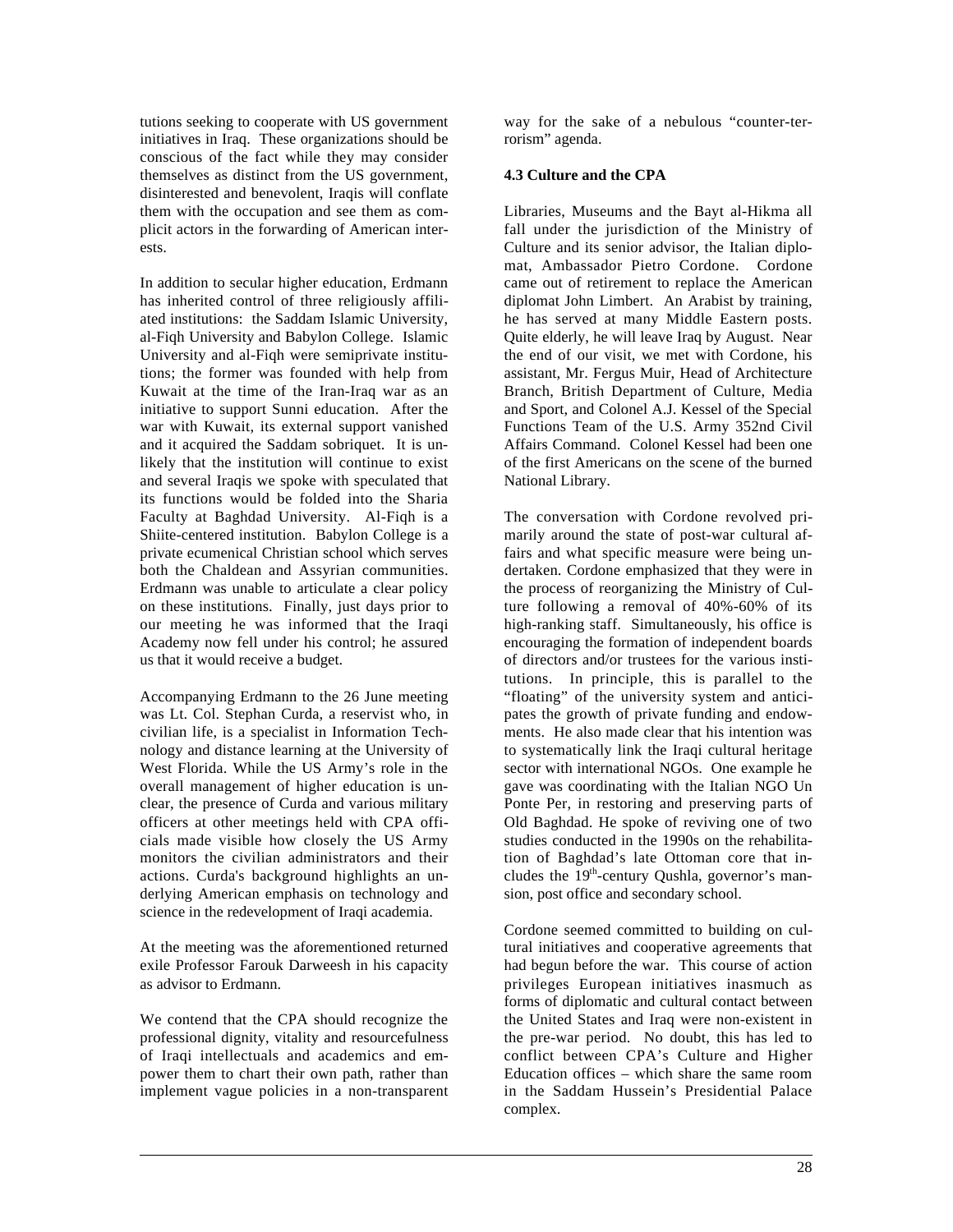tutions seeking to cooperate with US government initiatives in Iraq. These organizations should be conscious of the fact while they may consider themselves as distinct from the US government, disinterested and benevolent. Iraqis will conflate them with the occupation and see them as complicit actors in the forwarding of American interests.

In addition to secular higher education, Erdmann has inherited control of three religiously affiliated institutions: the Saddam Islamic University, al-Fiqh University and Babylon College. Islamic University and al-Fiqh were semiprivate institutions; the former was founded with help from Kuwait at the time of the Iran-Iraq war as an initiative to support Sunni education. After the war with Kuwait, its external support vanished and it acquired the Saddam sobriquet. It is unlikely that the institution will continue to exist and several Iraqis we spoke with speculated that its functions would be folded into the Sharia Faculty at Baghdad University. Al-Fiqh is a Shiite-centered institution. Babylon College is a private ecumenical Christian school which serves both the Chaldean and Assyrian communities. Erdmann was unable to articulate a clear policy on these institutions. Finally, just days prior to our meeting he was informed that the Iraqi Academy now fell under his control; he assured us that it would receive a budget.

Accompanying Erdmann to the 26 June meeting was Lt. Col. Stephan Curda, a reservist who, in civilian life, is a specialist in Information Technology and distance learning at the University of West Florida. While the US Army's role in the overall management of higher education is unclear, the presence of Curda and various military officers at other meetings held with CPA officials made visible how closely the US Army monitors the civilian administrators and their actions. Curda's background highlights an underlying American emphasis on technology and science in the redevelopment of Iraqi academia.

At the meeting was the aforementioned returned exile Professor Farouk Darweesh in his capacity as advisor to Erdmann.

We contend that the CPA should recognize the professional dignity, vitality and resourcefulness of Iraqi intellectuals and academics and empower them to chart their own path, rather than implement vague policies in a non-transparent

 $\overline{a}$ 

way for the sake of a nebulous "counter-terrorism" agenda.

### **4.3 Culture and the CPA**

Libraries, Museums and the Bayt al-Hikma all fall under the jurisdiction of the Ministry of Culture and its senior advisor, the Italian diplomat, Ambassador Pietro Cordone. Cordone came out of retirement to replace the American diplomat John Limbert. An Arabist by training, he has served at many Middle Eastern posts. Quite elderly, he will leave Iraq by August. Near the end of our visit, we met with Cordone, his assistant, Mr. Fergus Muir, Head of Architecture Branch, British Department of Culture, Media and Sport, and Colonel A.J. Kessel of the Special Functions Team of the U.S. Army 352nd Civil Affairs Command. Colonel Kessel had been one of the first Americans on the scene of the burned National Library.

The conversation with Cordone revolved primarily around the state of post-war cultural affairs and what specific measure were being undertaken. Cordone emphasized that they were in the process of reorganizing the Ministry of Culture following a removal of 40%-60% of its high-ranking staff. Simultaneously, his office is encouraging the formation of independent boards of directors and/or trustees for the various institutions. In principle, this is parallel to the "floating" of the university system and anticipates the growth of private funding and endowments. He also made clear that his intention was to systematically link the Iraqi cultural heritage sector with international NGOs. One example he gave was coordinating with the Italian NGO Un Ponte Per, in restoring and preserving parts of Old Baghdad. He spoke of reviving one of two studies conducted in the 1990s on the rehabilitation of Baghdad's late Ottoman core that includes the 19th-century Qushla, governor's mansion, post office and secondary school.

Cordone seemed committed to building on cultural initiatives and cooperative agreements that had begun before the war. This course of action privileges European initiatives inasmuch as forms of diplomatic and cultural contact between the United States and Iraq were non-existent in the pre-war period. No doubt, this has led to conflict between CPA's Culture and Higher Education offices – which share the same room in the Saddam Hussein's Presidential Palace complex.